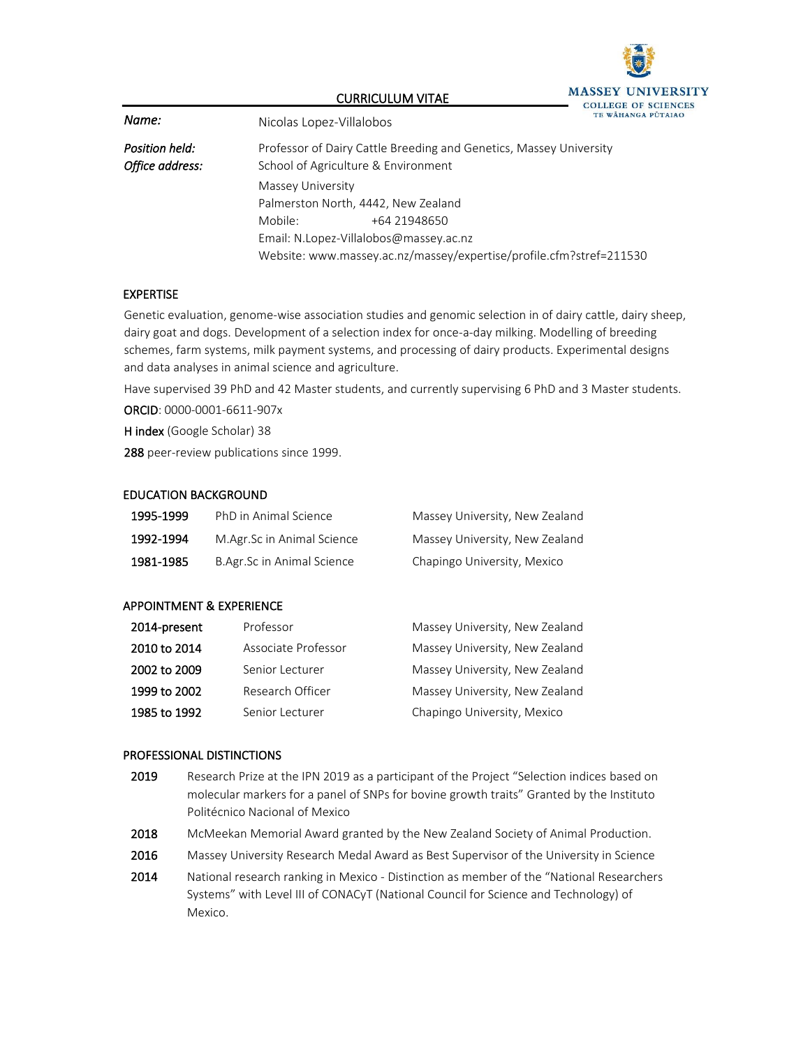

#### CURRICULUM VITAE

| Name:                             | Nicolas Lopez-Villalobos                                                                                  | IE WAHANGA |
|-----------------------------------|-----------------------------------------------------------------------------------------------------------|------------|
| Position held:<br>Office address: | Professor of Dairy Cattle Breeding and Genetics, Massey University<br>School of Agriculture & Environment |            |
|                                   | Massey University                                                                                         |            |
|                                   | Palmerston North, 4442, New Zealand                                                                       |            |
|                                   | Mobile:<br>+64 21948650                                                                                   |            |
|                                   | Email: N.Lopez-Villalobos@massey.ac.nz                                                                    |            |
|                                   | Website: www.massey.ac.nz/massey/expertise/profile.cfm?stref=211530                                       |            |

#### EXPERTISE

Genetic evaluation, genome-wise association studies and genomic selection in of dairy cattle, dairy sheep, dairy goat and dogs. Development of a selection index for once-a-day milking. Modelling of breeding schemes, farm systems, milk payment systems, and processing of dairy products. Experimental designs and data analyses in animal science and agriculture.

Have supervised 39 PhD and 42 Master students, and currently supervising 6 PhD and 3 Master students.

ORCID: 0000-0001-6611-907x

H index (Google Scholar) 38

288 peer-review publications since 1999.

#### EDUCATION BACKGROUND

| 1995-1999 | PhD in Animal Science      | Massey University, New Zealand |
|-----------|----------------------------|--------------------------------|
| 1992-1994 | M.Agr.Sc in Animal Science | Massey University, New Zealand |
| 1981-1985 | B.Agr.Sc in Animal Science | Chapingo University, Mexico    |

### APPOINTMENT & EXPERIENCE

| 2014-present | Professor           | Massey University, New Zealand |
|--------------|---------------------|--------------------------------|
| 2010 to 2014 | Associate Professor | Massey University, New Zealand |
| 2002 to 2009 | Senior Lecturer     | Massey University, New Zealand |
| 1999 to 2002 | Research Officer    | Massey University, New Zealand |
| 1985 to 1992 | Senior Lecturer     | Chapingo University, Mexico    |

#### PROFESSIONAL DISTINCTIONS

- 2019 Research Prize at the IPN 2019 as a participant of the Project "Selection indices based on molecular markers for a panel of SNPs for bovine growth traits" Granted by the Instituto Politécnico Nacional of Mexico
- 2018 McMeekan Memorial Award granted by the New Zealand Society of Animal Production.
- 2016 Massey University Research Medal Award as Best Supervisor of the University in Science
- 2014 National research ranking in Mexico Distinction as member of the "National Researchers" Systems" with Level III of CONACyT (National Council for Science and Technology) of Mexico.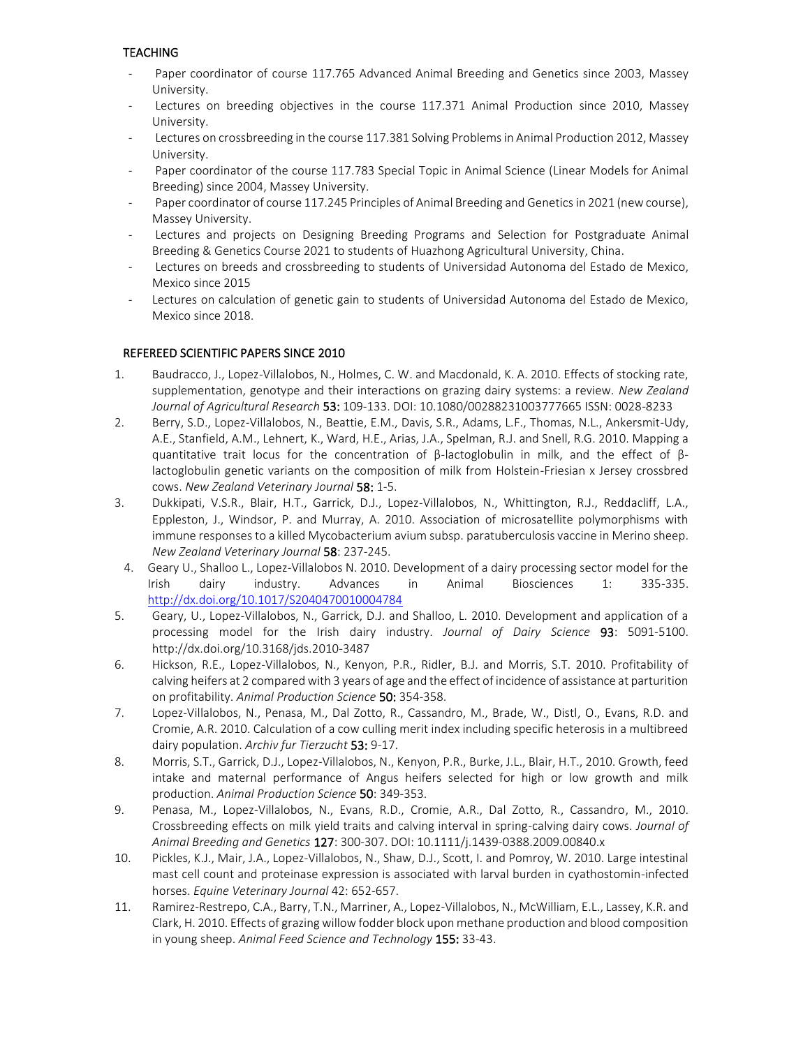## **TEACHING**

- Paper coordinator of course 117.765 Advanced Animal Breeding and Genetics since 2003, Massey University.
- Lectures on breeding objectives in the course 117.371 Animal Production since 2010, Massey University.
- Lectures on crossbreeding in the course 117.381 Solving Problems in Animal Production 2012, Massey University.
- Paper coordinator of the course 117.783 Special Topic in Animal Science (Linear Models for Animal Breeding) since 2004, Massey University.
- Paper coordinator of course 117.245 Principles of Animal Breeding and Genetics in 2021 (new course), Massey University.
- Lectures and projects on Designing Breeding Programs and Selection for Postgraduate Animal Breeding & Genetics Course 2021 to students of Huazhong Agricultural University, China.
- Lectures on breeds and crossbreeding to students of Universidad Autonoma del Estado de Mexico, Mexico since 2015
- Lectures on calculation of genetic gain to students of Universidad Autonoma del Estado de Mexico, Mexico since 2018.

## REFEREED SCIENTIFIC PAPERS SINCE 2010

- 1. Baudracco, J., Lopez-Villalobos, N., Holmes, C. W. and Macdonald, K. A. 2010. Effects of stocking rate, supplementation, genotype and their interactions on grazing dairy systems: a review. *New Zealand Journal of Agricultural Research* 53: 109-133. DOI: 10.1080/00288231003777665 ISSN: 0028-8233
- 2. Berry, S.D., Lopez-Villalobos, N., Beattie, E.M., Davis, S.R., Adams, L.F., Thomas, N.L., Ankersmit-Udy, A.E., Stanfield, A.M., Lehnert, K., Ward, H.E., Arias, J.A., Spelman, R.J. and Snell, R.G. 2010. Mapping a quantitative trait locus for the concentration of β-lactoglobulin in milk, and the effect of βlactoglobulin genetic variants on the composition of milk from Holstein-Friesian x Jersey crossbred cows. *New Zealand Veterinary Journal* 58: 1-5.
- 3. Dukkipati, V.S.R., Blair, H.T., Garrick, D.J., Lopez-Villalobos, N., Whittington, R.J., Reddacliff, L.A., Eppleston, J., Windsor, P. and Murray, A. 2010. Association of microsatellite polymorphisms with immune responses to a killed Mycobacterium avium subsp. paratuberculosis vaccine in Merino sheep. *New Zealand Veterinary Journal* 58: 237-245.
- 4. Geary U., Shalloo L., Lopez-Villalobos N. 2010. Development of a dairy processing sector model for the Irish dairy industry. Advances in Animal Biosciences 1: 335-335. <http://dx.doi.org/10.1017/S2040470010004784>
- 5. Geary, U., Lopez-Villalobos, N., Garrick, D.J. and Shalloo, L. 2010. Development and application of a processing model for the Irish dairy industry. *Journal of Dairy Science* 93: 5091-5100. <http://dx.doi.org/10.3168/jds.2010-3487>
- 6. Hickson, R.E., Lopez-Villalobos, N., Kenyon, P.R., Ridler, B.J. and Morris, S.T. 2010. Profitability of calving heifers at 2 compared with 3 years of age and the effect of incidence of assistance at parturition on profitability. *Animal Production Science* 50: 354-358.
- 7. Lopez-Villalobos, N., Penasa, M., Dal Zotto, R., Cassandro, M., Brade, W., Distl, O., Evans, R.D. and Cromie, A.R. 2010. Calculation of a cow culling merit index including specific heterosis in a multibreed dairy population. *Archiv fur Tierzucht* 53: 9-17.
- 8. Morris, S.T., Garrick, D.J., Lopez-Villalobos, N., Kenyon, P.R., Burke, J.L., Blair, H.T., 2010. Growth, feed intake and maternal performance of Angus heifers selected for high or low growth and milk production. *Animal Production Science* 50: 349-353.
- 9. Penasa, M., Lopez-Villalobos, N., Evans, R.D., Cromie, A.R., Dal Zotto, R., Cassandro, M., 2010. Crossbreeding effects on milk yield traits and calving interval in spring-calving dairy cows. *Journal of Animal Breeding and Genetics* 127: 300-307. DOI: 10.1111/j.1439-0388.2009.00840.x
- 10. Pickles, K.J., Mair, J.A., Lopez-Villalobos, N., Shaw, D.J., Scott, I. and Pomroy, W. 2010. Large intestinal mast cell count and proteinase expression is associated with larval burden in cyathostomin-infected horses. *Equine Veterinary Journal* 42: 652-657.
- 11. Ramirez-Restrepo, C.A., Barry, T.N., Marriner, A., Lopez-Villalobos, N., McWilliam, E.L., Lassey, K.R. and Clark, H. 2010. Effects of grazing willow fodder block upon methane production and blood composition in young sheep. *Animal Feed Science and Technology* 155: 33-43.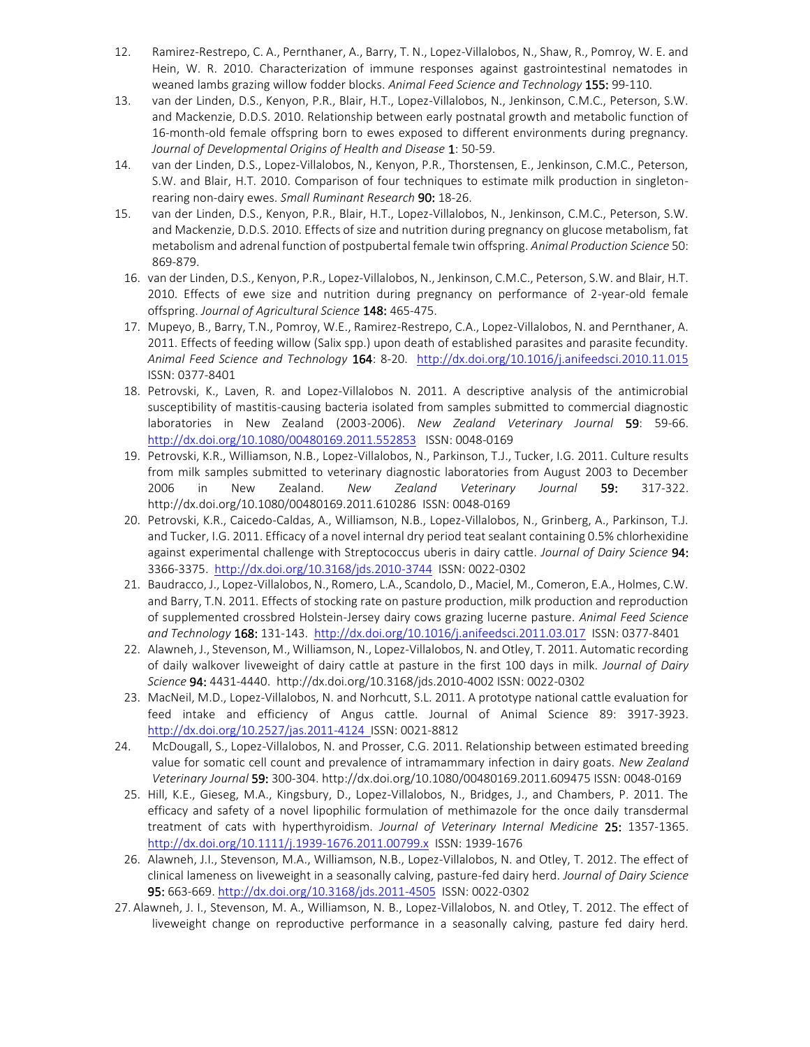- 12. Ramirez-Restrepo, C. A., Pernthaner, A., Barry, T. N., Lopez-Villalobos, N., Shaw, R., Pomroy, W. E. and Hein, W. R. 2010. Characterization of immune responses against gastrointestinal nematodes in weaned lambs grazing willow fodder blocks. *Animal Feed Science and Technology* 155: 99-110.
- 13. van der Linden, D.S., Kenyon, P.R., Blair, H.T., Lopez-Villalobos, N., Jenkinson, C.M.C., Peterson, S.W. and Mackenzie, D.D.S. 2010. Relationship between early postnatal growth and metabolic function of 16-month-old female offspring born to ewes exposed to different environments during pregnancy. *Journal of Developmental Origins of Health and Disease* 1: 50-59.
- 14. van der Linden, D.S., Lopez-Villalobos, N., Kenyon, P.R., Thorstensen, E., Jenkinson, C.M.C., Peterson, S.W. and Blair, H.T. 2010. Comparison of four techniques to estimate milk production in singletonrearing non-dairy ewes. *Small Ruminant Research* 90: 18-26.
- 15. van der Linden, D.S., Kenyon, P.R., Blair, H.T., Lopez-Villalobos, N., Jenkinson, C.M.C., Peterson, S.W. and Mackenzie, D.D.S. 2010. Effects of size and nutrition during pregnancy on glucose metabolism, fat metabolism and adrenal function of postpubertal female twin offspring. *Animal Production Science* 50: 869-879.
	- 16. van der Linden, D.S., Kenyon, P.R., Lopez-Villalobos, N., Jenkinson, C.M.C., Peterson, S.W. and Blair, H.T. 2010. Effects of ewe size and nutrition during pregnancy on performance of 2-year-old female offspring. *Journal of Agricultural Science* 148: 465-475.
	- 17. Mupeyo, B., Barry, T.N., Pomroy, W.E., Ramirez-Restrepo, C.A., Lopez-Villalobos, N. and Pernthaner, A. 2011. Effects of feeding willow (Salix spp.) upon death of established parasites and parasite fecundity. *Animal Feed Science and Technology* 164: 8-20. <http://dx.doi.org/10.1016/j.anifeedsci.2010.11.015> ISSN: 0377-8401
	- 18. Petrovski, K., Laven, R. and Lopez-Villalobos N. 2011. A descriptive analysis of the antimicrobial susceptibility of mastitis-causing bacteria isolated from samples submitted to commercial diagnostic laboratories in New Zealand (2003-2006). *New Zealand Veterinary Journal* 59: 59-66. <http://dx.doi.org/10.1080/00480169.2011.552853>ISSN: 0048-0169
	- 19. Petrovski, K.R., Williamson, N.B., Lopez-Villalobos, N., Parkinson, T.J., Tucker, I.G. 2011. Culture results from milk samples submitted to veterinary diagnostic laboratories from August 2003 to December 2006 in New Zealand. *New Zealand Veterinary Journal* 59: 317-322. <http://dx.doi.org/10.1080/00480169.2011.610286>ISSN: 0048-0169
	- 20. Petrovski, K.R., Caicedo-Caldas, A., Williamson, N.B., Lopez-Villalobos, N., Grinberg, A., Parkinson, T.J. and Tucker, I.G. 2011. Efficacy of a novel internal dry period teat sealant containing 0.5% chlorhexidine against experimental challenge with Streptococcus uberis in dairy cattle. *Journal of Dairy Science* 94: 3366-3375. <http://dx.doi.org/10.3168/jds.2010-3744>ISSN: 0022-0302
	- 21. Baudracco, J., Lopez-Villalobos, N., Romero, L.A., Scandolo, D., Maciel, M., Comeron, E.A., Holmes, C.W. and Barry, T.N. 2011. Effects of stocking rate on pasture production, milk production and reproduction of supplemented crossbred Holstein-Jersey dairy cows grazing lucerne pasture. *Animal Feed Science and Technology* 168: 131-143.<http://dx.doi.org/10.1016/j.anifeedsci.2011.03.017>ISSN: 0377-8401
	- 22. Alawneh, J., Stevenson, M., Williamson, N., Lopez-Villalobos, N. and Otley, T. 2011. Automatic recording of daily walkover liveweight of dairy cattle at pasture in the first 100 days in milk. *Journal of Dairy Science* 94: 4431-4440. <http://dx.doi.org/10.3168/jds.2010-4002> ISSN: 0022-0302
	- 23. MacNeil, M.D., Lopez-Villalobos, N. and Norhcutt, S.L. 2011. A prototype national cattle evaluation for feed intake and efficiency of Angus cattle. Journal of Animal Science 89: 3917-3923. <http://dx.doi.org/10.2527/jas.2011-4124>ISSN: 0021-8812
- 24. McDougall, S., Lopez-Villalobos, N. and Prosser, C.G. 2011. Relationship between estimated breeding value for somatic cell count and prevalence of intramammary infection in dairy goats. *New Zealand Veterinary Journal* 59: 300-304[. http://dx.doi.org/10.1080/00480169.2011.609475](http://dx.doi.org/10.1080/00480169.2011.609475) ISSN: 0048-0169
- 25. Hill, K.E., Gieseg, M.A., Kingsbury, D., Lopez-Villalobos, N., Bridges, J., and Chambers, P. 2011. The efficacy and safety of a novel lipophilic formulation of methimazole for the once daily transdermal treatment of cats with hyperthyroidism. *Journal of Veterinary Internal Medicine* 25: 1357-1365. <http://dx.doi.org/10.1111/j.1939-1676.2011.00799.x>ISSN: 1939-1676
- 26. Alawneh, J.I., Stevenson, M.A., Williamson, N.B., Lopez-Villalobos, N. and Otley, T. 2012. The effect of clinical lameness on liveweight in a seasonally calving, pasture-fed dairy herd. *Journal of Dairy Science* 95: 663-669.<http://dx.doi.org/10.3168/jds.2011-4505>ISSN: 0022-0302
- 27. Alawneh, J. I., Stevenson, M. A., Williamson, N. B., Lopez-Villalobos, N. and Otley, T. 2012. The effect of liveweight change on reproductive performance in a seasonally calving, pasture fed dairy herd.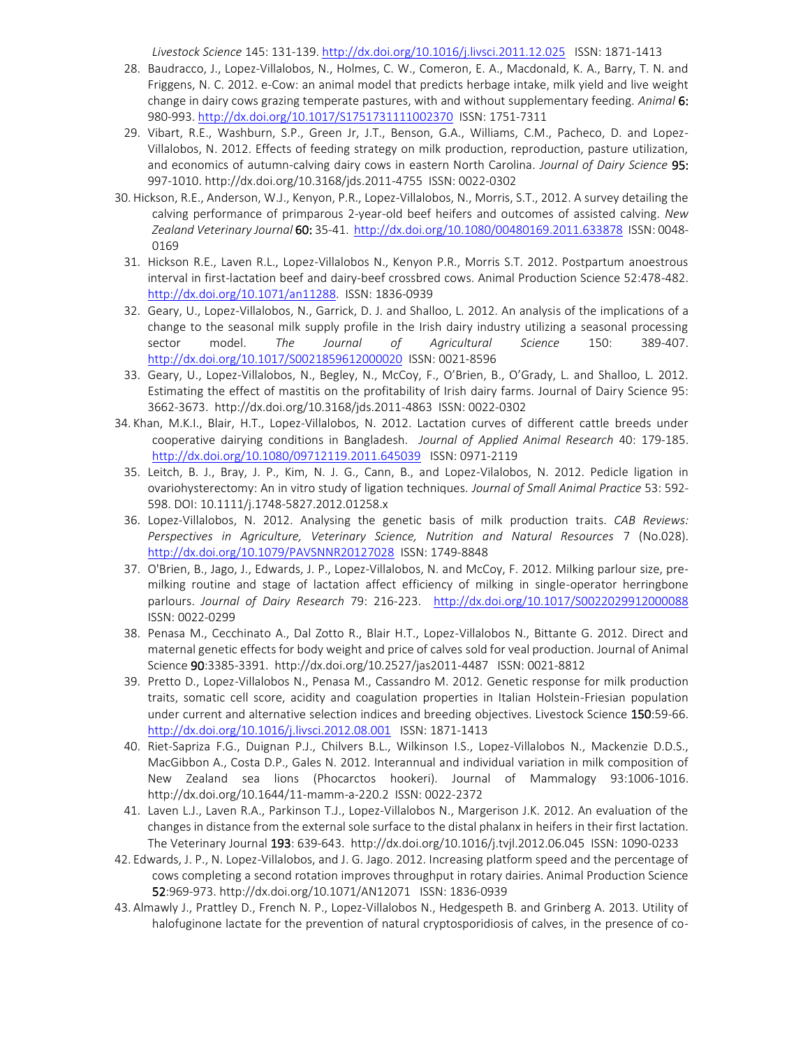*Livestock Science* 145: 131-139[. http://dx.doi.org/10.1016/j.livsci.2011.12.025](http://dx.doi.org/10.1016/j.livsci.2011.12.025) ISSN: 1871-1413

- 28. Baudracco, J., Lopez-Villalobos, N., Holmes, C. W., Comeron, E. A., Macdonald, K. A., Barry, T. N. and Friggens, N. C. 2012. e-Cow: an animal model that predicts herbage intake, milk yield and live weight change in dairy cows grazing temperate pastures, with and without supplementary feeding. *Animal* 6: 980-993.<http://dx.doi.org/10.1017/S1751731111002370>ISSN: 1751-7311
- 29. Vibart, R.E., Washburn, S.P., Green Jr, J.T., Benson, G.A., Williams, C.M., Pacheco, D. and Lopez-Villalobos, N. 2012. Effects of feeding strategy on milk production, reproduction, pasture utilization, and economics of autumn-calving dairy cows in eastern North Carolina. *Journal of Dairy Science* 95: 997-1010. http://dx.doi.org/10.3168/jds.2011-4755 ISSN: 0022-0302
- 30. Hickson, R.E., Anderson, W.J., Kenyon, P.R., Lopez-Villalobos, N., Morris, S.T., 2012. A survey detailing the calving performance of primparous 2-year-old beef heifers and outcomes of assisted calving. *New Zealand Veterinary Journal* 60: 35-41.<http://dx.doi.org/10.1080/00480169.2011.633878>ISSN: 0048- 0169
	- 31. Hickson R.E., Laven R.L., Lopez-Villalobos N., Kenyon P.R., Morris S.T. 2012. Postpartum anoestrous interval in first-lactation beef and dairy-beef crossbred cows. Animal Production Science 52:478-482. [http://dx.doi.org/10.1071/an11288.](http://dx.doi.org/10.1071/an11288) ISSN: 1836-0939
	- 32. Geary, U., Lopez-Villalobos, N., Garrick, D. J. and Shalloo, L. 2012. An analysis of the implications of a change to the seasonal milk supply profile in the Irish dairy industry utilizing a seasonal processing sector model. *The Journal of Agricultural Science* 150: 389-407. <http://dx.doi.org/10.1017/S0021859612000020>ISSN: 0021-8596
	- 33. Geary, U., Lopez-Villalobos, N., Begley, N., McCoy, F., O'Brien, B., O'Grady, L. and Shalloo, L. 2012. Estimating the effect of mastitis on the profitability of Irish dairy farms. Journal of Dairy Science 95: 3662-3673. http://dx.doi.org/10.3168/jds.2011-4863 ISSN: 0022-0302
- 34. Khan, M.K.I., Blair, H.T., Lopez-Villalobos, N. 2012. Lactation curves of different cattle breeds under cooperative dairying conditions in Bangladesh. *Journal of Applied Animal Research* 40: 179-185. <http://dx.doi.org/10.1080/09712119.2011.645039>ISSN: 0971-2119
	- 35. Leitch, B. J., Bray, J. P., Kim, N. J. G., Cann, B., and Lopez-Vilalobos, N. 2012. Pedicle ligation in ovariohysterectomy: An in vitro study of ligation techniques. *Journal of Small Animal Practice* 53: 592- 598. DOI: 10.1111/j.1748-5827.2012.01258.x
	- 36. Lopez-Villalobos, N. 2012. Analysing the genetic basis of milk production traits. *CAB Reviews: Perspectives in Agriculture, Veterinary Science, Nutrition and Natural Resources* 7 (No.028). <http://dx.doi.org/10.1079/PAVSNNR20127028>ISSN: 1749-8848
	- 37. O'Brien, B., Jago, J., Edwards, J. P., Lopez-Villalobos, N. and McCoy, F. 2012. Milking parlour size, premilking routine and stage of lactation affect efficiency of milking in single-operator herringbone parlours. *Journal of Dairy Research* 79: 216-223. <http://dx.doi.org/10.1017/S0022029912000088> ISSN: 0022-0299
	- 38. Penasa M., Cecchinato A., Dal Zotto R., Blair H.T., Lopez-Villalobos N., Bittante G. 2012. Direct and maternal genetic effects for body weight and price of calves sold for veal production. Journal of Animal Science 90:3385-3391.<http://dx.doi.org/10.2527/jas2011-4487>ISSN: 0021-8812
	- 39. Pretto D., Lopez-Villalobos N., Penasa M., Cassandro M. 2012. Genetic response for milk production traits, somatic cell score, acidity and coagulation properties in Italian Holstein-Friesian population under current and alternative selection indices and breeding objectives. Livestock Science 150:59-66. <http://dx.doi.org/10.1016/j.livsci.2012.08.001>ISSN: 1871-1413
	- 40. Riet-Sapriza F.G., Duignan P.J., Chilvers B.L., Wilkinson I.S., Lopez-Villalobos N., Mackenzie D.D.S., MacGibbon A., Costa D.P., Gales N. 2012. Interannual and individual variation in milk composition of New Zealand sea lions (Phocarctos hookeri). Journal of Mammalogy 93:1006-1016. <http://dx.doi.org/10.1644/11-mamm-a-220.2>ISSN: 0022-2372
- 41. Laven L.J., Laven R.A., Parkinson T.J., Lopez-Villalobos N., Margerison J.K. 2012. An evaluation of the changes in distance from the external sole surface to the distal phalanx in heifers in their first lactation. The Veterinary Journal 193: 639-643. http://dx.doi.org/10.1016/j.tvjl.2012.06.045 ISSN: 1090-0233
- 42. Edwards, J. P., N. Lopez-Villalobos, and J. G. Jago. 2012. Increasing platform speed and the percentage of cows completing a second rotation improves throughput in rotary dairies. Animal Production Science 52:969-973.<http://dx.doi.org/10.1071/AN12071>ISSN: 1836-0939
- 43. Almawly J., Prattley D., French N. P., Lopez-Villalobos N., Hedgespeth B. and Grinberg A. 2013. Utility of halofuginone lactate for the prevention of natural cryptosporidiosis of calves, in the presence of co-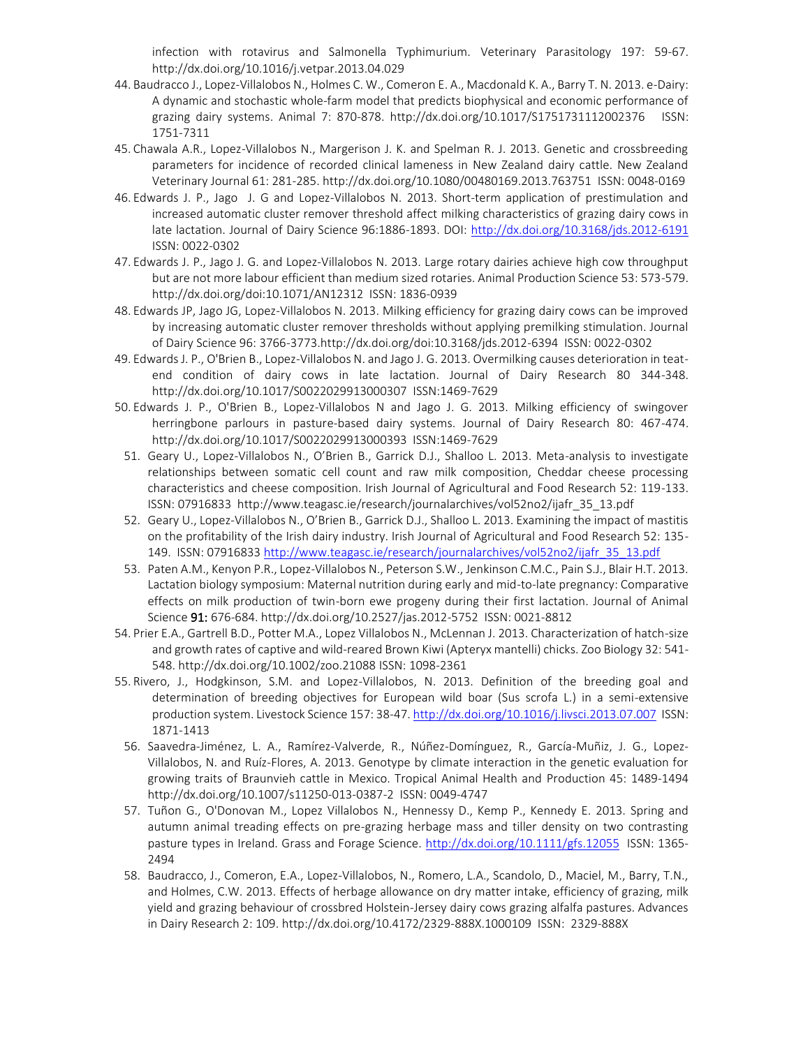infection with rotavirus and Salmonella Typhimurium. Veterinary Parasitology 197: 59-67. <http://dx.doi.org/10.1016/j.vetpar.2013.04.029>

- 44. Baudracco J., Lopez-Villalobos N., Holmes C. W., Comeron E. A., Macdonald K. A., Barry T. N. 2013. e-Dairy: A dynamic and stochastic whole-farm model that predicts biophysical and economic performance of grazing dairy systems. Animal 7: 870-878. <http://dx.doi.org/10.1017/S1751731112002376>ISSN: 1751-7311
- 45. Chawala A.R., Lopez-Villalobos N., Margerison J. K. and Spelman R. J. 2013. Genetic and crossbreeding parameters for incidence of recorded clinical lameness in New Zealand dairy cattle. New Zealand Veterinary Journal 61: 281-285.<http://dx.doi.org/10.1080/00480169.2013.763751>ISSN: 0048-0169
- 46. Edwards J. P., Jago J. G and Lopez-Villalobos N. 2013. Short-term application of prestimulation and increased automatic cluster remover threshold affect milking characteristics of grazing dairy cows in late lactation. Journal of Dairy Science 96:1886-1893. DOI:<http://dx.doi.org/10.3168/jds.2012-6191> ISSN: 0022-0302
- 47. Edwards J. P., Jago J. G. and Lopez-Villalobos N. 2013. Large rotary dairies achieve high cow throughput but are not more labour efficient than medium sized rotaries. Animal Production Science 53: 573-579. <http://dx.doi.org/doi:10.1071/AN12312>ISSN: 1836-0939
- 48. Edwards JP, Jago JG, Lopez-Villalobos N. 2013. Milking efficiency for grazing dairy cows can be improved by increasing automatic cluster remover thresholds without applying premilking stimulation. Journal of Dairy Science 96: 3766-3773.http://dx.doi.org/doi:10.3168/jds.2012-6394 ISSN: 0022-0302
- 49. Edwards J. P., O'Brien B., Lopez-Villalobos N. and Jago J. G. 2013. Overmilking causes deterioration in teatend condition of dairy cows in late lactation. Journal of Dairy Research 80 344-348. <http://dx.doi.org/10.1017/S0022029913000307>ISSN:1469-7629
- 50. Edwards J. P., O'Brien B., Lopez-Villalobos N and Jago J. G. 2013. Milking efficiency of swingover herringbone parlours in pasture-based dairy systems. Journal of Dairy Research 80: 467-474. http://dx.doi.org/10.1017/S0022029913000393 ISSN:1469-7629
- 51. Geary U., Lopez-Villalobos N., O'Brien B., Garrick D.J., Shalloo L. 2013. Meta-analysis to investigate relationships between somatic cell count and raw milk composition, Cheddar cheese processing characteristics and cheese composition. Irish Journal of Agricultural and Food Research 52: 119-133. ISSN: 07916833 http://www.teagasc.ie/research/journalarchives/vol52no2/ijafr\_35\_13.pdf
- 52. Geary U., Lopez-Villalobos N., O'Brien B., Garrick D.J., Shalloo L. 2013. Examining the impact of mastitis on the profitability of the Irish dairy industry. Irish Journal of Agricultural and Food Research 52: 135- 149. ISSN: 0791683[3 http://www.teagasc.ie/research/journalarchives/vol52no2/ijafr\\_35\\_13.pdf](http://www.teagasc.ie/research/journalarchives/vol52no2/ijafr_35_13.pdf)
- 53. Paten A.M., Kenyon P.R., Lopez-Villalobos N., Peterson S.W., Jenkinson C.M.C., Pain S.J., Blair H.T. 2013. Lactation biology symposium: Maternal nutrition during early and mid-to-late pregnancy: Comparative effects on milk production of twin-born ewe progeny during their first lactation. Journal of Animal Science 91: 676-684. http://dx.doi.org/10.2527/jas.2012-5752 ISSN: 0021-8812
- 54. Prier E.A., Gartrell B.D., Potter M.A., Lopez Villalobos N., McLennan J. 2013. Characterization of hatch-size and growth rates of captive and wild-reared Brown Kiwi (Apteryx mantelli) chicks. Zoo Biology 32: 541- 548.<http://dx.doi.org/10.1002/zoo.21088> ISSN: 1098-2361
- 55. Rivero, J., Hodgkinson, S.M. and Lopez-Villalobos, N. 2013. Definition of the breeding goal and determination of breeding objectives for European wild boar (Sus scrofa L.) in a semi-extensive production system. Livestock Science 157: 38-47[. http://dx.doi.org/10.1016/j.livsci.2013.07.007](http://dx.doi.org/10.1016/j.livsci.2013.07.007) ISSN: 1871-1413
	- 56. Saavedra-Jiménez, L. A., Ramírez-Valverde, R., Núñez-Domínguez, R., García-Muñiz, J. G., Lopez-Villalobos, N. and Ruíz-Flores, A. 2013. Genotype by climate interaction in the genetic evaluation for growing traits of Braunvieh cattle in Mexico. Tropical Animal Health and Production 45: 1489-1494 <http://dx.doi.org/10.1007/s11250-013-0387-2>ISSN: 0049-4747
	- 57. Tuñon G., O'Donovan M., Lopez Villalobos N., Hennessy D., Kemp P., Kennedy E. 2013. Spring and autumn animal treading effects on pre-grazing herbage mass and tiller density on two contrasting pasture types in Ireland. Grass and Forage Science.<http://dx.doi.org/10.1111/gfs.12055>ISSN: 1365-2494
	- 58. Baudracco, J., Comeron, E.A., Lopez-Villalobos, N., Romero, L.A., Scandolo, D., Maciel, M., Barry, T.N., and Holmes, C.W. 2013. Effects of herbage allowance on dry matter intake, efficiency of grazing, milk yield and grazing behaviour of crossbred Holstein-Jersey dairy cows grazing alfalfa pastures. Advances in Dairy Research 2: 109.<http://dx.doi.org/10.4172/2329-888X.1000109>ISSN: 2329-888X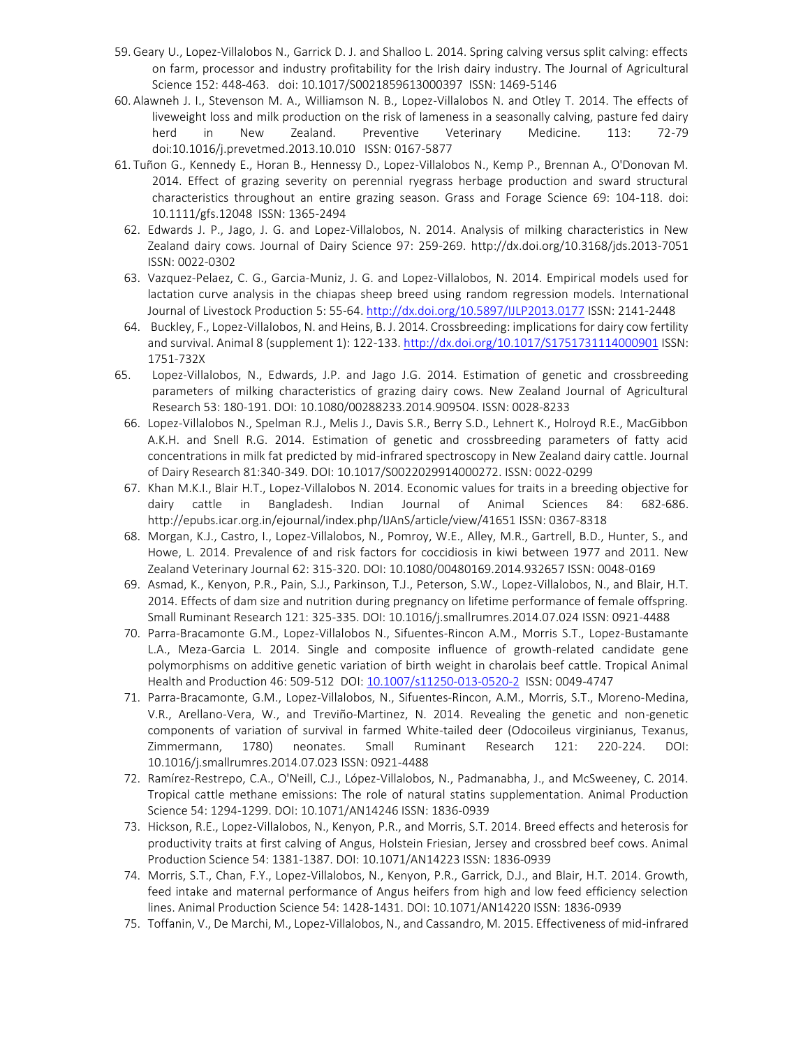- 59. Geary U., Lopez-Villalobos N., Garrick D. J. and Shalloo L. 2014. Spring calving versus split calving: effects on farm, processor and industry profitability for the Irish dairy industry. The Journal of Agricultural Science 152: 448-463. [doi: 10.1017/S0021859613000397](http://dx.doi.org/10.1017/S0021859613000397) ISSN: 1469-5146
- 60. Alawneh J. I., Stevenson M. A., Williamson N. B., Lopez-Villalobos N. and Otley T. 2014. The effects of liveweight loss and milk production on the risk of lameness in a seasonally calving, pasture fed dairy herd in New Zealand. Preventive Veterinary Medicine. 113: 72-79 doi[:10.1016/j.prevetmed.2013.10.010](http://dx.doi.org/10.1016/j.prevetmed.2013.10.010) ISSN: 0167-5877
- 61. Tuñon G., Kennedy E., Horan B., Hennessy D., Lopez-Villalobos N., Kemp P., Brennan A., O'Donovan M. 2014. Effect of grazing severity on perennial ryegrass herbage production and sward structural characteristics throughout an entire grazing season. Grass and Forage Science 69: 104-118. doi: 10.1111/gfs.12048 ISSN: 1365-2494
- 62. Edwards J. P., Jago, J. G. and Lopez-Villalobos, N. 2014. Analysis of milking characteristics in New Zealand dairy cows. Journal of Dairy Science 97: 259-269.<http://dx.doi.org/10.3168/jds.2013-7051> ISSN: 0022-0302
- 63. Vazquez-Pelaez, C. G., Garcia-Muniz, J. G. and Lopez-Villalobos, N. 2014. Empirical models used for lactation curve analysis in the chiapas sheep breed using random regression models. International Journal of Livestock Production 5: 55-64.<http://dx.doi.org/10.5897/IJLP2013.0177> ISSN: 2141-2448
- 64. Buckley, F., Lopez-Villalobos, N. and Heins, B. J. 2014. Crossbreeding: implications for dairy cow fertility and survival. Animal 8 (supplement 1): 122-133[. http://dx.doi.org/10.1017/S1751731114000901](http://dx.doi.org/10.1017/S1751731114000901) ISSN: 1751-732X
- 65. Lopez-Villalobos, N., Edwards, J.P. and Jago J.G. 2014. Estimation of genetic and crossbreeding parameters of milking characteristics of grazing dairy cows. New Zealand Journal of Agricultural Research 53: 180-191. DOI: 10.1080/00288233.2014.909504. ISSN: 0028-8233
	- 66. Lopez-Villalobos N., Spelman R.J., Melis J., Davis S.R., Berry S.D., Lehnert K., Holroyd R.E., MacGibbon A.K.H. and Snell R.G. 2014. Estimation of genetic and crossbreeding parameters of fatty acid concentrations in milk fat predicted by mid-infrared spectroscopy in New Zealand dairy cattle. Journal of Dairy Research 81:340-349. DOI: 10.1017/S0022029914000272. ISSN: 0022-0299
	- 67. Khan M.K.I., Blair H.T., Lopez-Villalobos N. 2014. Economic values for traits in a breeding objective for dairy cattle in Bangladesh. Indian Journal of Animal Sciences 84: 682-686. <http://epubs.icar.org.in/ejournal/index.php/IJAnS/article/view/41651> ISSN: 0367-8318
	- 68. Morgan, K.J., Castro, I., Lopez-Villalobos, N., Pomroy, W.E., Alley, M.R., Gartrell, B.D., Hunter, S., and Howe, L. 2014. Prevalence of and risk factors for coccidiosis in kiwi between 1977 and 2011. New Zealand Veterinary Journal 62: 315-320. DOI: 10.1080/00480169.2014.932657 ISSN: 0048-0169
	- 69. Asmad, K., Kenyon, P.R., Pain, S.J., Parkinson, T.J., Peterson, S.W., Lopez-Villalobos, N., and Blair, H.T. 2014. Effects of dam size and nutrition during pregnancy on lifetime performance of female offspring. Small Ruminant Research 121: 325-335. DOI: 10.1016/j.smallrumres.2014.07.024 ISSN: 0921-4488
	- 70. Parra-Bracamonte G.M., Lopez-Villalobos N., Sifuentes-Rincon A.M., Morris S.T., Lopez-Bustamante L.A., Meza-Garcia L. 2014. Single and composite influence of growth-related candidate gene polymorphisms on additive genetic variation of birth weight in charolais beef cattle. Tropical Animal Health and Production 46: 509-512 [DOI: 10.1007/s11250-013-0520-2](http://dx.doi.org/10.1007/s11250-013-0520-2) ISSN: 0049-4747
	- 71. Parra-Bracamonte, G.M., Lopez-Villalobos, N., Sifuentes-Rincon, A.M., Morris, S.T., Moreno-Medina, V.R., Arellano-Vera, W., and Treviño-Martinez, N. 2014. Revealing the genetic and non-genetic components of variation of survival in farmed White-tailed deer (Odocoileus virginianus, Texanus, Zimmermann, 1780) neonates. Small Ruminant Research 121: 220-224. DOI: 10.1016/j.smallrumres.2014.07.023 ISSN: 0921-4488
	- 72. Ramírez-Restrepo, C.A., O'Neill, C.J., López-Villalobos, N., Padmanabha, J., and McSweeney, C. 2014. Tropical cattle methane emissions: The role of natural statins supplementation. Animal Production Science 54: 1294-1299. DOI: 10.1071/AN14246 ISSN: 1836-0939
	- 73. Hickson, R.E., Lopez-Villalobos, N., Kenyon, P.R., and Morris, S.T. 2014. Breed effects and heterosis for productivity traits at first calving of Angus, Holstein Friesian, Jersey and crossbred beef cows. Animal Production Science 54: 1381-1387. DOI: 10.1071/AN14223 ISSN: 1836-0939
	- 74. Morris, S.T., Chan, F.Y., Lopez-Villalobos, N., Kenyon, P.R., Garrick, D.J., and Blair, H.T. 2014. Growth, feed intake and maternal performance of Angus heifers from high and low feed efficiency selection lines. Animal Production Science 54: 1428-1431. DOI: 10.1071/AN14220 ISSN: 1836-0939
	- 75. Toffanin, V., De Marchi, M., Lopez-Villalobos, N., and Cassandro, M. 2015. Effectiveness of mid-infrared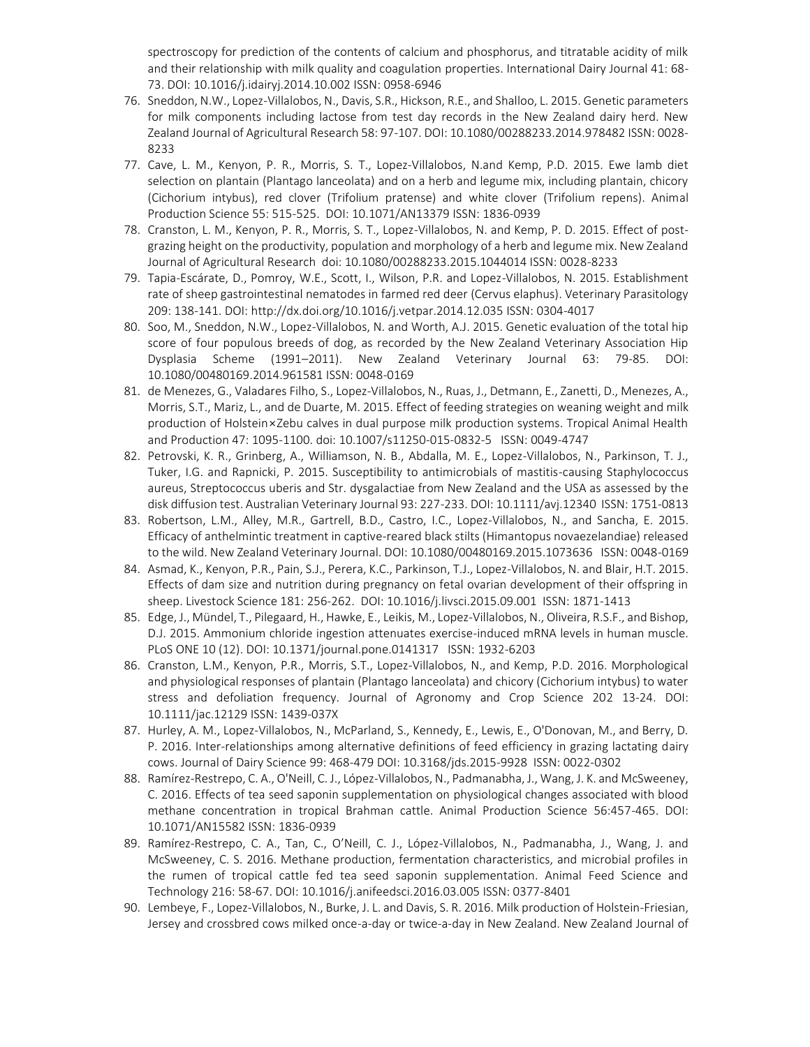spectroscopy for prediction of the contents of calcium and phosphorus, and titratable acidity of milk and their relationship with milk quality and coagulation properties. International Dairy Journal 41: 68- 73[. DOI: 10.1016/j.idairyj.2014.10.002](http://dx.doi.org/10.1016/j.idairyj.2014.10.002) ISSN: 0958-6946

- 76. Sneddon, N.W., Lopez-Villalobos, N., Davis, S.R., Hickson, R.E., and Shalloo, L. 2015. Genetic parameters for milk components including lactose from test day records in the New Zealand dairy herd. New Zealand Journal of Agricultural Research 58: 97-107. DOI: 10.1080/00288233.2014.978482 ISSN: 0028- 8233
- 77. Cave, L. M., Kenyon, P. R., Morris, S. T., Lopez-Villalobos, N.and Kemp, P.D. 2015. Ewe lamb diet selection on plantain (Plantago lanceolata) and on a herb and legume mix, including plantain, chicory (Cichorium intybus), red clover (Trifolium pratense) and white clover (Trifolium repens). Animal Production Science 55: 515-525. [DOI: 10.1071/AN13379](http://dx.doi.org/10.1071/AN13379) ISSN: 1836-0939
- 78. Cranston, L. M., Kenyon, P. R., Morris, S. T., Lopez-Villalobos, N. and Kemp, P. D. 2015. Effect of postgrazing height on the productivity, population and morphology of a herb and legume mix. New Zealand Journal of Agricultural Research doi: 10.1080/00288233.2015.1044014 ISSN: 0028-8233
- 79. Tapia-Escárate, D., Pomroy, W.E., Scott, I., Wilson, P.R. and Lopez-Villalobos, N. 2015. Establishment rate of sheep gastrointestinal nematodes in farmed red deer (Cervus elaphus). Veterinary Parasitology 209: 138-141. DOI:<http://dx.doi.org/10.1016/j.vetpar.2014.12.035> ISSN: 0304-4017
- 80. Soo, M., Sneddon, N.W., Lopez-Villalobos, N. and Worth, A.J. 2015. Genetic evaluation of the total hip score of four populous breeds of dog, as recorded by the New Zealand Veterinary Association Hip Dysplasia Scheme (1991–2011). New Zealand Veterinary Journal 63: 79-85. DOI: 10.1080/00480169.2014.961581 ISSN: 0048-0169
- 81. de Menezes, G., Valadares Filho, S., Lopez-Villalobos, N., Ruas, J., Detmann, E., Zanetti, D., Menezes, A., Morris, S.T., Mariz, L., and de Duarte, M. 2015. Effect of feeding strategies on weaning weight and milk production of Holstein × Zebu calves in dual purpose milk production systems. Tropical Animal Health and Production 47: 1095-1100. doi: 10.1007/s11250-015-0832-5 ISSN: 0049-4747
- 82. Petrovski, K. R., Grinberg, A., Williamson, N. B., Abdalla, M. E., Lopez-Villalobos, N., Parkinson, T. J., Tuker, I.G. and Rapnicki, P. 2015. Susceptibility to antimicrobials of mastitis-causing Staphylococcus aureus, Streptococcus uberis and Str. dysgalactiae from New Zealand and the USA as assessed by the disk diffusion test. Australian Veterinary Journal 93: 227-233. DOI: 10.1111/avj.12340 ISSN: 1751-0813
- 83. Robertson, L.M., Alley, M.R., Gartrell, B.D., Castro, I.C., Lopez-Villalobos, N., and Sancha, E. 2015. Efficacy of anthelmintic treatment in captive-reared black stilts (Himantopus novaezelandiae) released to the wild. New Zealand Veterinary Journal. DOI: 10.1080/00480169.2015.1073636 ISSN: 0048-0169
- 84. Asmad, K., Kenyon, P.R., Pain, S.J., Perera, K.C., Parkinson, T.J., Lopez-Villalobos, N. and Blair, H.T. 2015. Effects of dam size and nutrition during pregnancy on fetal ovarian development of their offspring in sheep. Livestock Science 181: 256-262. DOI: 10.1016/j.livsci.2015.09.001 ISSN: 1871-1413
- 85. Edge, J., Mündel, T., Pilegaard, H., Hawke, E., Leikis, M., Lopez-Villalobos, N., Oliveira, R.S.F., and Bishop, D.J. 2015. Ammonium chloride ingestion attenuates exercise-induced mRNA levels in human muscle. PLoS ONE 10 (12). DOI: 10.1371/journal.pone.0141317 ISSN: 1932-6203
- 86. Cranston, L.M., Kenyon, P.R., Morris, S.T., Lopez-Villalobos, N., and Kemp, P.D. 2016. Morphological and physiological responses of plantain (Plantago lanceolata) and chicory (Cichorium intybus) to water stress and defoliation frequency. Journal of Agronomy and Crop Science 202 13-24. DOI: 10.1111/jac.12129 ISSN: 1439-037X
- 87. Hurley, A. M., Lopez-Villalobos, N., McParland, S., Kennedy, E., Lewis, E., O'Donovan, M., and Berry, D. P. 2016. Inter-relationships among alternative definitions of feed efficiency in grazing lactating dairy cows. Journal of Dairy Science 99: 468-479 DOI: 10.3168/jds.2015-9928 ISSN: 0022-0302
- 88. Ramírez-Restrepo, C. A., O'Neill, C. J., López-Villalobos, N., Padmanabha, J., Wang, J. K. and McSweeney, C. 2016. Effects of tea seed saponin supplementation on physiological changes associated with blood methane concentration in tropical Brahman cattle. Animal Production Science 56:457-465. DOI: 10.1071/AN15582 ISSN: 1836-0939
- 89. Ramírez-Restrepo, C. A., Tan, C., O'Neill, C. J., López-Villalobos, N., Padmanabha, J., Wang, J. and McSweeney, C. S. 2016. Methane production, fermentation characteristics, and microbial profiles in the rumen of tropical cattle fed tea seed saponin supplementation. Animal Feed Science and Technology 216: 58-67. DOI: 10.1016/j.anifeedsci.2016.03.005 ISSN: 0377-8401
- 90. Lembeye, F., Lopez-Villalobos, N., Burke, J. L. and Davis, S. R. 2016. Milk production of Holstein-Friesian, Jersey and crossbred cows milked once-a-day or twice-a-day in New Zealand. New Zealand Journal of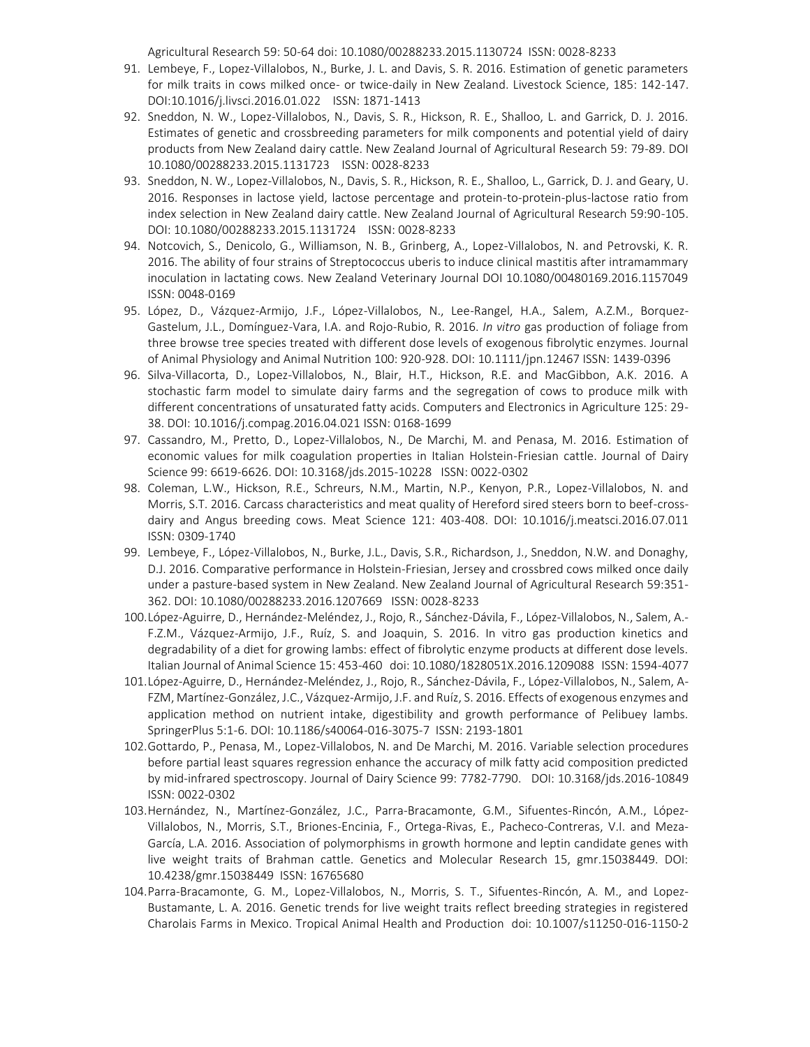Agricultural Research 59: 50-64 doi: 10.1080/00288233.2015.1130724 ISSN: 0028-8233

- 91. Lembeye, F., Lopez-Villalobos, N., Burke, J. L. and Davis, S. R. 2016. Estimation of genetic parameters for milk traits in cows milked once- or twice-daily in New Zealand. Livestock Science, 185: 142-147. DOI:10.1016/j.livsci.2016.01.022 ISSN: 1871-1413
- 92. Sneddon, N. W., Lopez-Villalobos, N., Davis, S. R., Hickson, R. E., Shalloo, L. and Garrick, D. J. 2016. Estimates of genetic and crossbreeding parameters for milk components and potential yield of dairy products from New Zealand dairy cattle. New Zealand Journal of Agricultural Research 59: 79-89. DOI 10.1080/00288233.2015.1131723 ISSN: 0028-8233
- 93. Sneddon, N. W., Lopez-Villalobos, N., Davis, S. R., Hickson, R. E., Shalloo, L., Garrick, D. J. and Geary, U. 2016. Responses in lactose yield, lactose percentage and protein-to-protein-plus-lactose ratio from index selection in New Zealand dairy cattle. New Zealand Journal of Agricultural Research 59:90-105. DOI: 10.1080/00288233.2015.1131724 ISSN: 0028-8233
- 94. Notcovich, S., Denicolo, G., Williamson, N. B., Grinberg, A., Lopez-Villalobos, N. and Petrovski, K. R. 2016. The ability of four strains of Streptococcus uberis to induce clinical mastitis after intramammary inoculation in lactating cows. New Zealand Veterinary Journal DOI 10.1080/00480169.2016.1157049 ISSN: 0048-0169
- 95. López, D., Vázquez-Armijo, J.F., López-Villalobos, N., Lee-Rangel, H.A., Salem, A.Z.M., Borquez-Gastelum, J.L., Domínguez-Vara, I.A. and Rojo-Rubio, R. 2016. *In vitro* gas production of foliage from three browse tree species treated with different dose levels of exogenous fibrolytic enzymes. Journal of Animal Physiology and Animal Nutrition 100: 920-928. DOI: 10.1111/jpn.12467 ISSN: 1439-0396
- 96. Silva-Villacorta, D., Lopez-Villalobos, N., Blair, H.T., Hickson, R.E. and MacGibbon, A.K. 2016. A stochastic farm model to simulate dairy farms and the segregation of cows to produce milk with different concentrations of unsaturated fatty acids. Computers and Electronics in Agriculture 125: 29- 38. DOI: 10.1016/j.compag.2016.04.021 ISSN: 0168-1699
- 97. Cassandro, M., Pretto, D., Lopez-Villalobos, N., De Marchi, M. and Penasa, M. 2016. Estimation of economic values for milk coagulation properties in Italian Holstein-Friesian cattle. Journal of Dairy Science 99: 6619-6626. DOI: 10.3168/jds.2015-10228 ISSN: 0022-0302
- 98. Coleman, L.W., Hickson, R.E., Schreurs, N.M., Martin, N.P., Kenyon, P.R., Lopez-Villalobos, N. and Morris, S.T. 2016. Carcass characteristics and meat quality of Hereford sired steers born to beef-crossdairy and Angus breeding cows. Meat Science 121: 403-408. DOI: 10.1016/j.meatsci.2016.07.011 ISSN: 0309-1740
- 99. Lembeye, F., López-Villalobos, N., Burke, J.L., Davis, S.R., Richardson, J., Sneddon, N.W. and Donaghy, D.J. 2016. Comparative performance in Holstein-Friesian, Jersey and crossbred cows milked once daily under a pasture-based system in New Zealand. New Zealand Journal of Agricultural Research 59:351- 362. DOI: 10.1080/00288233.2016.1207669 ISSN: 0028-8233
- 100.López-Aguirre, D., Hernández-Meléndez, J., Rojo, R., Sánchez-Dávila, F., López-Villalobos, N., Salem, A.- F.Z.M., Vázquez-Armijo, J.F., Ruíz, S. and Joaquin, S. 2016. In vitro gas production kinetics and degradability of a diet for growing lambs: effect of fibrolytic enzyme products at different dose levels. Italian Journal of Animal Science 15: 453-460 doi: 10.1080/1828051X.2016.1209088 ISSN: 1594-4077
- 101.López-Aguirre, D., Hernández-Meléndez, J., Rojo, R., Sánchez-Dávila, F., López-Villalobos, N., Salem, A-FZM, Martínez-González, J.C., Vázquez-Armijo, J.F. and Ruíz, S. 2016. Effects of exogenous enzymes and application method on nutrient intake, digestibility and growth performance of Pelibuey lambs. SpringerPlus 5:1-6. DOI: 10.1186/s40064-016-3075-7 ISSN: 2193-1801
- 102.Gottardo, P., Penasa, M., Lopez-Villalobos, N. and De Marchi, M. 2016. Variable selection procedures before partial least squares regression enhance the accuracy of milk fatty acid composition predicted by mid-infrared spectroscopy. Journal of Dairy Science 99: 7782-7790. DOI: 10.3168/jds.2016-10849 ISSN: 0022-0302
- 103.Hernández, N., Martínez-González, J.C., Parra-Bracamonte, G.M., Sifuentes-Rincón, A.M., López-Villalobos, N., Morris, S.T., Briones-Encinia, F., Ortega-Rivas, E., Pacheco-Contreras, V.I. and Meza-García, L.A. 2016. Association of polymorphisms in growth hormone and leptin candidate genes with live weight traits of Brahman cattle. Genetics and Molecular Research 15, gmr.15038449. DOI: 10.4238/gmr.15038449 ISSN: 16765680
- 104.Parra-Bracamonte, G. M., Lopez-Villalobos, N., Morris, S. T., Sifuentes-Rincón, A. M., and Lopez-Bustamante, L. A. 2016. Genetic trends for live weight traits reflect breeding strategies in registered Charolais Farms in Mexico. Tropical Animal Health and Production doi: 10.1007/s11250-016-1150-2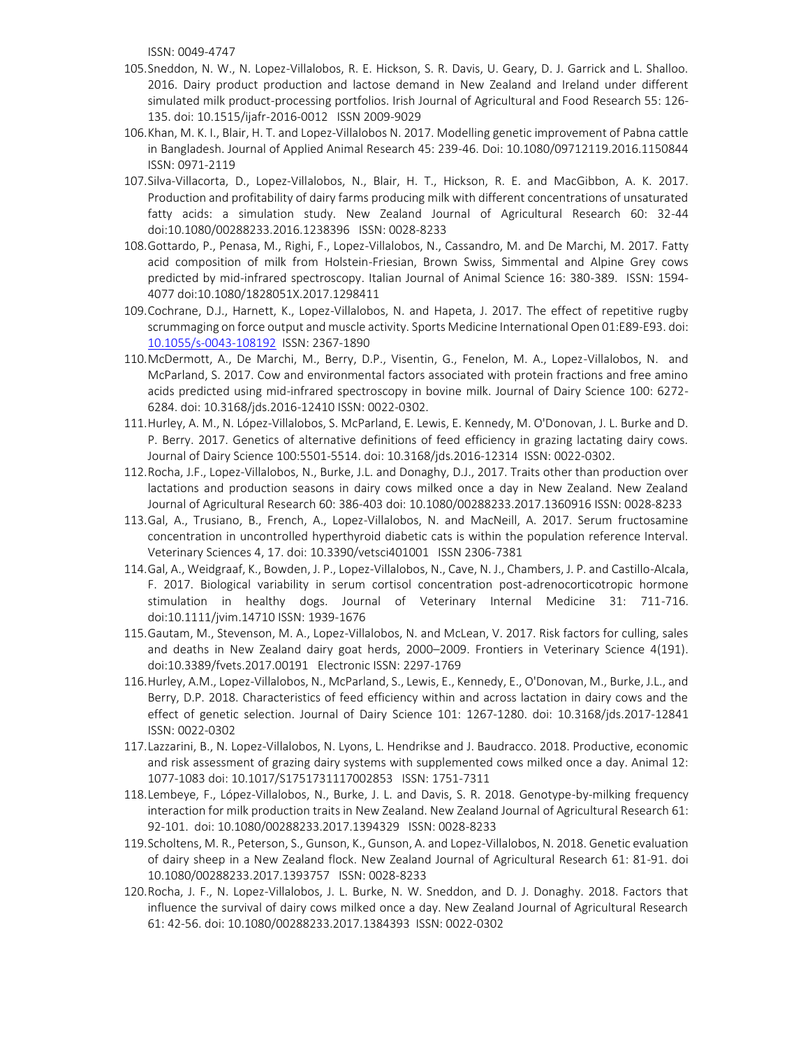ISSN: 0049-4747

- 105.Sneddon, N. W., N. Lopez-Villalobos, R. E. Hickson, S. R. Davis, U. Geary, D. J. Garrick and L. Shalloo. 2016. Dairy product production and lactose demand in New Zealand and Ireland under different simulated milk product-processing portfolios. Irish Journal of Agricultural and Food Research 55: 126- 135. doi: 10.1515/ijafr-2016-0012 ISSN 2009-9029
- 106.Khan, M. K. I., Blair, H. T. and Lopez-Villalobos N. 2017. Modelling genetic improvement of Pabna cattle in Bangladesh. Journal of Applied Animal Research 45: 239-46. Doi: 10.1080/09712119.2016.1150844 ISSN: 0971-2119
- 107.Silva-Villacorta, D., Lopez-Villalobos, N., Blair, H. T., Hickson, R. E. and MacGibbon, A. K. 2017. Production and profitability of dairy farms producing milk with different concentrations of unsaturated fatty acids: a simulation study. New Zealand Journal of Agricultural Research 60: 32-44 doi:10.1080/00288233.2016.1238396 ISSN: 0028-8233
- 108.Gottardo, P., Penasa, M., Righi, F., Lopez-Villalobos, N., Cassandro, M. and De Marchi, M. 2017. Fatty acid composition of milk from Holstein-Friesian, Brown Swiss, Simmental and Alpine Grey cows predicted by mid-infrared spectroscopy. Italian Journal of Animal Science 16: 380-389. ISSN: 1594- 4077 doi:10.1080/1828051X.2017.1298411
- 109.Cochrane, D.J., Harnett, K., Lopez-Villalobos, N. and Hapeta, J. 2017. The effect of repetitive rugby scrummaging on force output and muscle activity. Sports Medicine International Open 01:E89-E93. doi: [10.1055/s-0043-108192](http://dx.doi.org/10.1055/s-0043-108192) ISSN: 2367-1890
- 110.McDermott, A., De Marchi, M., Berry, D.P., Visentin, G., Fenelon, M. A., Lopez-Villalobos, N. and McParland, S. 2017. Cow and environmental factors associated with protein fractions and free amino acids predicted using mid-infrared spectroscopy in bovine milk. Journal of Dairy Science 100: 6272- 6284. doi: 10.3168/jds.2016-12410 ISSN: 0022-0302.
- 111.Hurley, A. M., N. López-Villalobos, S. McParland, E. Lewis, E. Kennedy, M. O'Donovan, J. L. Burke and D. P. Berry. 2017. Genetics of alternative definitions of feed efficiency in grazing lactating dairy cows. Journal of Dairy Science 100:5501-5514. doi: 10.3168/jds.2016-12314 ISSN: 0022-0302.
- 112.Rocha, J.F., Lopez-Villalobos, N., Burke, J.L. and Donaghy, D.J., 2017. Traits other than production over lactations and production seasons in dairy cows milked once a day in New Zealand. New Zealand Journal of Agricultural Research 60: 386-403 doi[: 10.1080/00288233.2017.1360916](http://dx.doi.org/10.1080/00288233.2017.1360916) ISSN: 0028-8233
- 113.Gal, A., Trusiano, B., French, A., Lopez-Villalobos, N. and MacNeill, A. 2017. Serum fructosamine concentration in uncontrolled hyperthyroid diabetic cats is within the population reference Interval. Veterinary Sciences 4, 17. doi: 10.3390/vetsci401001 ISSN 2306-7381
- 114.Gal, A., Weidgraaf, K., Bowden, J. P., Lopez-Villalobos, N., Cave, N. J., Chambers, J. P. and Castillo-Alcala, F. 2017. Biological variability in serum cortisol concentration post-adrenocorticotropic hormone stimulation in healthy dogs. Journal of Veterinary Internal Medicine 31: 711-716. doi:10.1111/jvim.14710 ISSN: 1939-1676
- 115.Gautam, M., Stevenson, M. A., Lopez-Villalobos, N. and McLean, V. 2017. Risk factors for culling, sales and deaths in New Zealand dairy goat herds, 2000–2009. Frontiers in Veterinary Science 4(191). doi:10.3389/fvets.2017.00191 Electronic ISSN: 2297-1769
- 116.Hurley, A.M., Lopez-Villalobos, N., McParland, S., Lewis, E., Kennedy, E., O'Donovan, M., Burke, J.L., and Berry, D.P. 2018. Characteristics of feed efficiency within and across lactation in dairy cows and the effect of genetic selection. Journal of Dairy Science 101: 1267-1280. doi: 10.3168/jds.2017-12841 ISSN: 0022-0302
- 117.Lazzarini, B., N. Lopez-Villalobos, N. Lyons, L. Hendrikse and J. Baudracco. 2018. Productive, economic and risk assessment of grazing dairy systems with supplemented cows milked once a day. Animal 12: 1077-1083 doi: 10.1017/S1751731117002853 ISSN: 1751-7311
- 118.Lembeye, F., López-Villalobos, N., Burke, J. L. and Davis, S. R. 2018. Genotype-by-milking frequency interaction for milk production traits in New Zealand. New Zealand Journal of Agricultural Research 61: 92-101. doi: 10.1080/00288233.2017.1394329 ISSN: 0028-8233
- 119.Scholtens, M. R., Peterson, S., Gunson, K., Gunson, A. and Lopez-Villalobos, N. 2018. Genetic evaluation of dairy sheep in a New Zealand flock. New Zealand Journal of Agricultural Research 61: 81-91. doi 10.1080/00288233.2017.1393757 ISSN: 0028-8233
- 120.Rocha, J. F., N. Lopez-Villalobos, J. L. Burke, N. W. Sneddon, and D. J. Donaghy. 2018. Factors that influence the survival of dairy cows milked once a day. New Zealand Journal of Agricultural Research 61: 42-56. doi: 10.1080/00288233.2017.1384393 ISSN: 0022-0302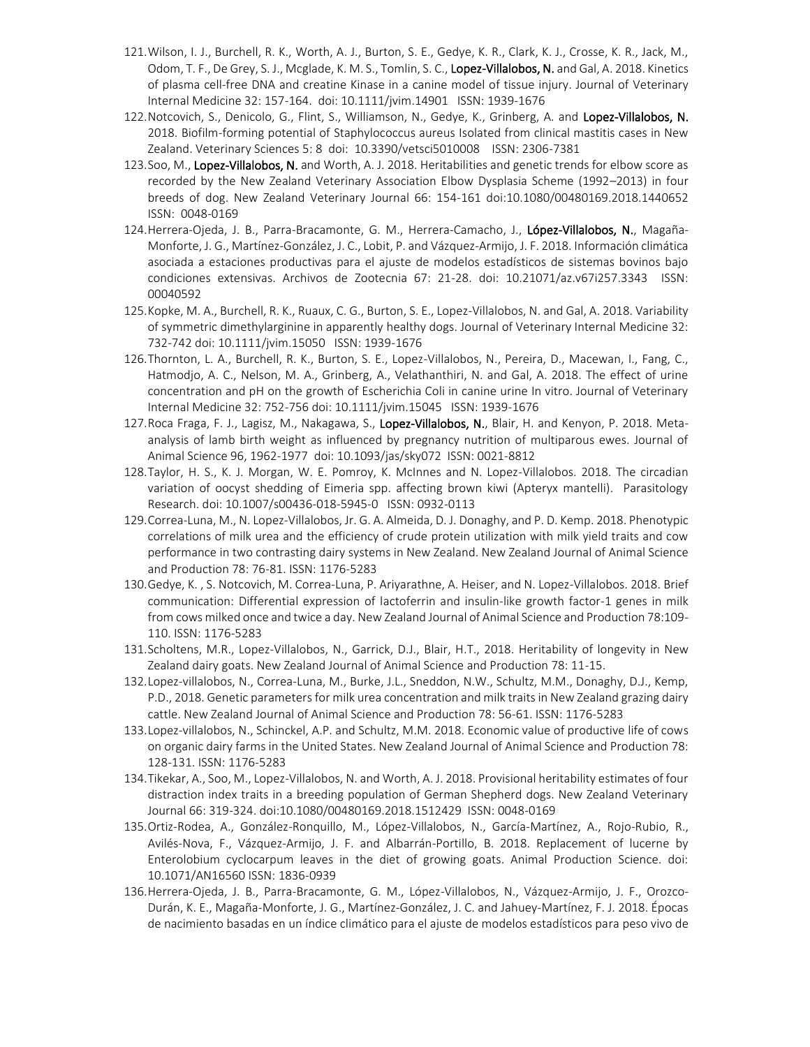- 121.Wilson, I. J., Burchell, R. K., Worth, A. J., Burton, S. E., Gedye, K. R., Clark, K. J., Crosse, K. R., Jack, M., Odom, T. F., De Grey, S. J., Mcglade, K. M. S., Tomlin, S. C., Lopez-Villalobos, N. and Gal, A. 2018. Kinetics of plasma cell-free DNA and creatine Kinase in a canine model of tissue injury. Journal of Veterinary Internal Medicine 32: 157-164. doi: 10.1111/jvim.14901 ISSN: 1939-1676
- 122. Notcovich, S., Denicolo, G., Flint, S., Williamson, N., Gedye, K., Grinberg, A. and Lopez-Villalobos, N. 2018. Biofilm-forming potential of Staphylococcus aureus Isolated from clinical mastitis cases in New Zealand. Veterinary Sciences 5: 8 doi: 10.3390/vetsci5010008 ISSN: 2306-7381
- 123.Soo, M., Lopez-Villalobos, N. and Worth, A. J. 2018. Heritabilities and genetic trends for elbow score as recorded by the New Zealand Veterinary Association Elbow Dysplasia Scheme (1992–2013) in four breeds of dog. New Zealand Veterinary Journal 66: 154-161 doi:10.1080/00480169.2018.1440652 ISSN: 0048-0169
- 124.Herrera-Ojeda, J. B., Parra-Bracamonte, G. M., Herrera-Camacho, J., López-Villalobos, N., Magaña-Monforte, J. G., Martínez-González, J. C., Lobit, P. and Vázquez-Armijo, J. F. 2018. Información climática asociada a estaciones productivas para el ajuste de modelos estadísticos de sistemas bovinos bajo condiciones extensivas. Archivos de Zootecnia 67: 21-28. doi: 10.21071/az.v67i257.3343 ISSN: 00040592
- 125.Kopke, M. A., Burchell, R. K., Ruaux, C. G., Burton, S. E., Lopez-Villalobos, N. and Gal, A. 2018. Variability of symmetric dimethylarginine in apparently healthy dogs. Journal of Veterinary Internal Medicine 32: 732-742 doi: 10.1111/jvim.15050 ISSN: 1939-1676
- 126.Thornton, L. A., Burchell, R. K., Burton, S. E., Lopez-Villalobos, N., Pereira, D., Macewan, I., Fang, C., Hatmodjo, A. C., Nelson, M. A., Grinberg, A., Velathanthiri, N. and Gal, A. 2018. The effect of urine concentration and pH on the growth of Escherichia Coli in canine urine In vitro. Journal of Veterinary Internal Medicine 32: 752-756 doi: 10.1111/jvim.15045 ISSN: 1939-1676
- 127. Roca Fraga, F. J., Lagisz, M., Nakagawa, S., Lopez-Villalobos, N., Blair, H. and Kenyon, P. 2018. Metaanalysis of lamb birth weight as influenced by pregnancy nutrition of multiparous ewes. Journal of Animal Science 96, 1962-1977 doi: 10.1093/jas/sky072 ISSN: 0021-8812
- 128.Taylor, H. S., K. J. Morgan, W. E. Pomroy, K. McInnes and N. Lopez-Villalobos. 2018. The circadian variation of oocyst shedding of Eimeria spp. affecting brown kiwi (Apteryx mantelli). Parasitology Research. doi: 10.1007/s00436-018-5945-0 ISSN: 0932-0113
- 129.Correa-Luna, M., N. Lopez-Villalobos, Jr. G. A. Almeida, D. J. Donaghy, and P. D. Kemp. 2018. Phenotypic correlations of milk urea and the efficiency of crude protein utilization with milk yield traits and cow performance in two contrasting dairy systems in New Zealand. New Zealand Journal of Animal Science and Production 78: 76-81. ISSN: 1176-5283
- 130.Gedye, K. , S. Notcovich, M. Correa-Luna, P. Ariyarathne, A. Heiser, and N. Lopez-Villalobos. 2018. Brief communication: Differential expression of lactoferrin and insulin-like growth factor-1 genes in milk from cows milked once and twice a day. New Zealand Journal of Animal Science and Production 78:109- 110. ISSN: 1176-5283
- 131.Scholtens, M.R., Lopez-Villalobos, N., Garrick, D.J., Blair, H.T., 2018. Heritability of longevity in New Zealand dairy goats. New Zealand Journal of Animal Science and Production 78: 11-15.
- 132.Lopez-villalobos, N., Correa-Luna, M., Burke, J.L., Sneddon, N.W., Schultz, M.M., Donaghy, D.J., Kemp, P.D., 2018. Genetic parameters for milk urea concentration and milk traits in New Zealand grazing dairy cattle. New Zealand Journal of Animal Science and Production 78: 56-61. ISSN: 1176-5283
- 133.Lopez-villalobos, N., Schinckel, A.P. and Schultz, M.M. 2018. Economic value of productive life of cows on organic dairy farms in the United States. New Zealand Journal of Animal Science and Production 78: 128-131. ISSN: 1176-5283
- 134.Tikekar, A., Soo, M., Lopez-Villalobos, N. and Worth, A. J. 2018. Provisional heritability estimates of four distraction index traits in a breeding population of German Shepherd dogs. New Zealand Veterinary Journal 66: 319-324. doi:10.1080/00480169.2018.1512429 ISSN: 0048-0169
- 135.Ortiz-Rodea, A., González-Ronquillo, M., López-Villalobos, N., García-Martínez, A., Rojo-Rubio, R., Avilés-Nova, F., Vázquez-Armijo, J. F. and Albarrán-Portillo, B. 2018. Replacement of lucerne by Enterolobium cyclocarpum leaves in the diet of growing goats. Animal Production Science. doi: 10.1071/AN16560 ISSN: 1836-0939
- 136.Herrera-Ojeda, J. B., Parra-Bracamonte, G. M., López-Villalobos, N., Vázquez-Armijo, J. F., Orozco-Durán, K. E., Magaña-Monforte, J. G., Martínez-González, J. C. and Jahuey-Martínez, F. J. 2018. Épocas de nacimiento basadas en un índice climático para el ajuste de modelos estadísticos para peso vivo de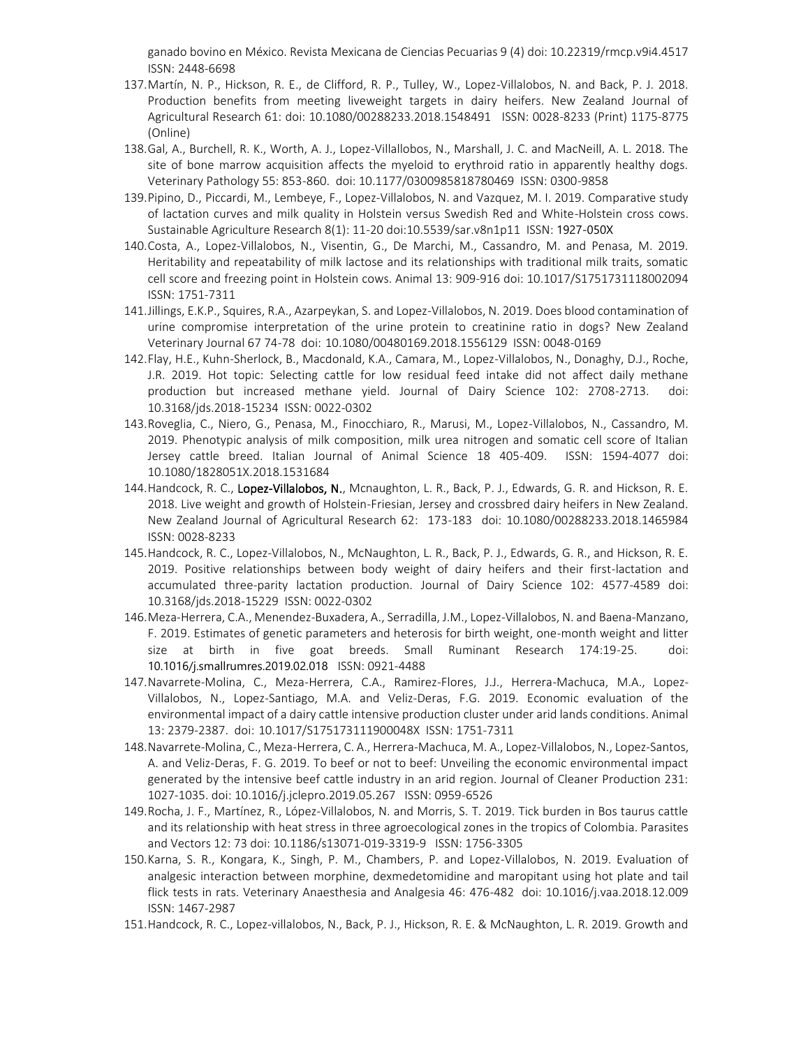ganado bovino en México. Revista Mexicana de Ciencias Pecuarias 9 (4) doi: 10.22319/rmcp.v9i4.4517 ISSN: 2448-6698

- 137.Martín, N. P., Hickson, R. E., de Clifford, R. P., Tulley, W., Lopez-Villalobos, N. and Back, P. J. 2018. Production benefits from meeting liveweight targets in dairy heifers. New Zealand Journal of Agricultural Research 61: doi: 10.1080/00288233.2018.1548491 ISSN: 0028-8233 (Print) 1175-8775 (Online)
- 138.Gal, A., Burchell, R. K., Worth, A. J., Lopez-Villallobos, N., Marshall, J. C. and MacNeill, A. L. 2018. The site of bone marrow acquisition affects the myeloid to erythroid ratio in apparently healthy dogs. Veterinary Pathology 55: 853-860. doi: 10.1177/0300985818780469 ISSN: 0300-9858
- 139.Pipino, D., Piccardi, M., Lembeye, F., Lopez-Villalobos, N. and Vazquez, M. I. 2019. Comparative study of lactation curves and milk quality in Holstein versus Swedish Red and White-Holstein cross cows. Sustainable Agriculture Research 8(1): 11-20 doi:10.5539/sar.v8n1p11 ISSN: 1927-050X
- 140.Costa, A., Lopez-Villalobos, N., Visentin, G., De Marchi, M., Cassandro, M. and Penasa, M. 2019. Heritability and repeatability of milk lactose and its relationships with traditional milk traits, somatic cell score and freezing point in Holstein cows. Animal 13: 909-916 doi: 10.1017/S1751731118002094 ISSN: 1751-7311
- 141.Jillings, E.K.P., Squires, R.A., Azarpeykan, S. and Lopez-Villalobos, N. 2019. Does blood contamination of urine compromise interpretation of the urine protein to creatinine ratio in dogs? New Zealand Veterinary Journal 67 74-78 doi: 10.1080/00480169.2018.1556129 ISSN: 0048-0169
- 142.Flay, H.E., Kuhn-Sherlock, B., Macdonald, K.A., Camara, M., Lopez-Villalobos, N., Donaghy, D.J., Roche, J.R. 2019. Hot topic: Selecting cattle for low residual feed intake did not affect daily methane production but increased methane yield. Journal of Dairy Science 102: 2708-2713. doi: 10.3168/jds.2018-15234 ISSN: 0022-0302
- 143.Roveglia, C., Niero, G., Penasa, M., Finocchiaro, R., Marusi, M., Lopez-Villalobos, N., Cassandro, M. 2019. Phenotypic analysis of milk composition, milk urea nitrogen and somatic cell score of Italian Jersey cattle breed. Italian Journal of Animal Science 18 405-409. ISSN: 1594-4077 doi: 10.1080/1828051X.2018.1531684
- 144. Handcock, R. C., Lopez-Villalobos, N., Mcnaughton, L. R., Back, P. J., Edwards, G. R. and Hickson, R. E. 2018. Live weight and growth of Holstein-Friesian, Jersey and crossbred dairy heifers in New Zealand. New Zealand Journal of Agricultural Research 62: 173-183 doi: 10.1080/00288233.2018.1465984 ISSN: 0028-8233
- 145.Handcock, R. C., Lopez-Villalobos, N., McNaughton, L. R., Back, P. J., Edwards, G. R., and Hickson, R. E. 2019. Positive relationships between body weight of dairy heifers and their first-lactation and accumulated three-parity lactation production. Journal of Dairy Science 102: 4577-4589 doi: 10.3168/jds.2018-15229 ISSN: 0022-0302
- 146.Meza-Herrera, C.A., Menendez-Buxadera, A., Serradilla, J.M., Lopez-Villalobos, N. and Baena-Manzano, F. 2019. Estimates of genetic parameters and heterosis for birth weight, one-month weight and litter size at birth in five goat breeds. Small Ruminant Research 174:19-25. doi: [10.1016/j.smallrumres.2019.02.018](https://doi.org/10.1016/j.smallrumres.2019.02.018) ISSN: 0921-4488
- 147.Navarrete-Molina, C., Meza-Herrera, C.A., Ramirez-Flores, J.J., Herrera-Machuca, M.A., Lopez-Villalobos, N., Lopez-Santiago, M.A. and Veliz-Deras, F.G. 2019. Economic evaluation of the environmental impact of a dairy cattle intensive production cluster under arid lands conditions. Animal 13: 2379-2387. doi: 10.1017/S175173111900048X ISSN: 1751-7311
- 148.Navarrete-Molina, C., Meza-Herrera, C. A., Herrera-Machuca, M. A., Lopez-Villalobos, N., Lopez-Santos, A. and Veliz-Deras, F. G. 2019. To beef or not to beef: Unveiling the economic environmental impact generated by the intensive beef cattle industry in an arid region. Journal of Cleaner Production 231: 1027-1035. doi: 10.1016/j.jclepro.2019.05.267 ISSN: 0959-6526
- 149.Rocha, J. F., Martínez, R., López-Villalobos, N. and Morris, S. T. 2019. Tick burden in Bos taurus cattle and its relationship with heat stress in three agroecological zones in the tropics of Colombia. Parasites and Vectors 12: 73 doi: 10.1186/s13071-019-3319-9 ISSN: 1756-3305
- 150.Karna, S. R., Kongara, K., Singh, P. M., Chambers, P. and Lopez-Villalobos, N. 2019. Evaluation of analgesic interaction between morphine, dexmedetomidine and maropitant using hot plate and tail flick tests in rats. Veterinary Anaesthesia and Analgesia 46: 476-482 doi: 10.1016/j.vaa.2018.12.009 ISSN: 1467-2987
- 151.Handcock, R. C., Lopez-villalobos, N., Back, P. J., Hickson, R. E. & McNaughton, L. R. 2019. Growth and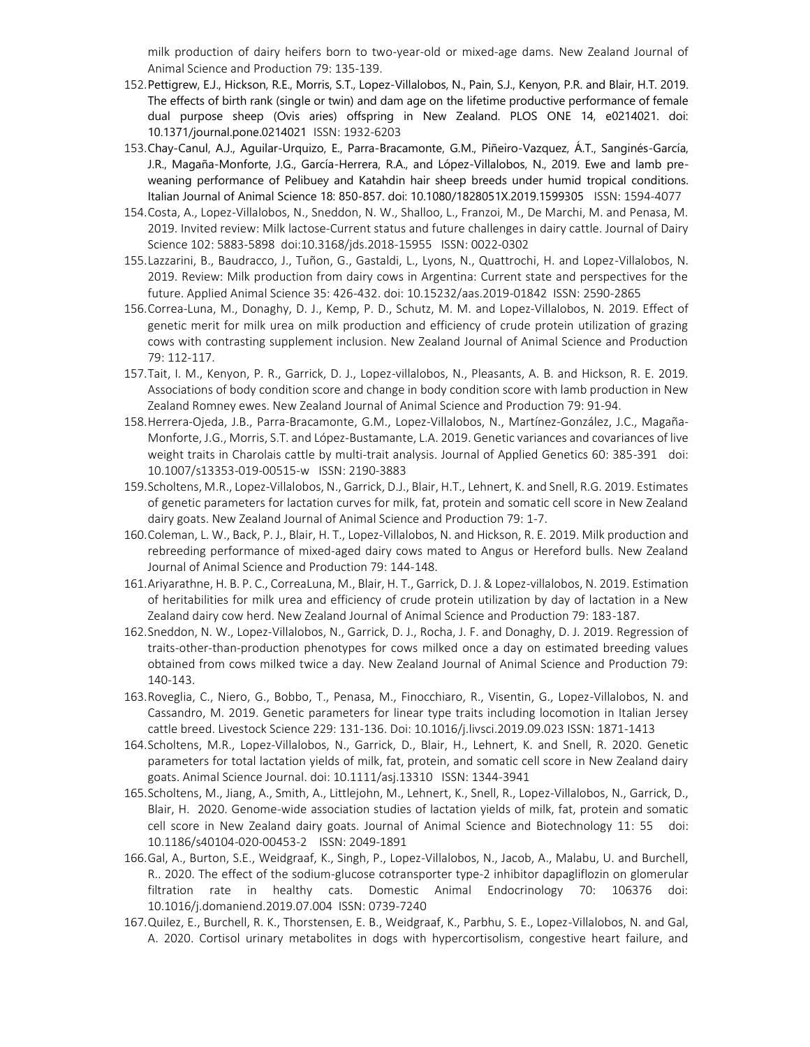milk production of dairy heifers born to two-year-old or mixed-age dams. New Zealand Journal of Animal Science and Production 79: 135-139.

- 152.Pettigrew, E.J., Hickson, R.E., Morris, S.T., Lopez-Villalobos, N., Pain, S.J., Kenyon, P.R. and Blair, H.T. 2019. The effects of birth rank (single or twin) and dam age on the lifetime productive performance of female dual purpose sheep (Ovis aries) offspring in New Zealand. PLOS ONE 14, e0214021. doi: 10.1371/journal.pone.0214021 ISSN: 1932-6203
- 153.Chay-Canul, A.J., Aguilar-Urquizo, E., Parra-Bracamonte, G.M., Piñeiro-Vazquez, Á.T., Sanginés-García, J.R., Magaña-Monforte, J.G., García-Herrera, R.A., and López-Villalobos, N., 2019. Ewe and lamb preweaning performance of Pelibuey and Katahdin hair sheep breeds under humid tropical conditions. Italian Journal of Animal Science 18: 850-857. doi: 10.1080/1828051X.2019.1599305 ISSN: 1594-4077
- 154.Costa, A., Lopez-Villalobos, N., Sneddon, N. W., Shalloo, L., Franzoi, M., De Marchi, M. and Penasa, M. 2019. Invited review: Milk lactose-Current status and future challenges in dairy cattle. Journal of Dairy Science 102: 5883-5898 doi:10.3168/jds.2018-15955 ISSN: 0022-0302
- 155.Lazzarini, B., Baudracco, J., Tuñon, G., Gastaldi, L., Lyons, N., Quattrochi, H. and Lopez-Villalobos, N. 2019. Review: Milk production from dairy cows in Argentina: Current state and perspectives for the future. Applied Animal Science 35: 426-432. doi: 10.15232/aas.2019-01842 ISSN: 2590-2865
- 156.Correa-Luna, M., Donaghy, D. J., Kemp, P. D., Schutz, M. M. and Lopez-Villalobos, N. 2019. Effect of genetic merit for milk urea on milk production and efficiency of crude protein utilization of grazing cows with contrasting supplement inclusion. New Zealand Journal of Animal Science and Production 79: 112-117.
- 157.Tait, I. M., Kenyon, P. R., Garrick, D. J., Lopez-villalobos, N., Pleasants, A. B. and Hickson, R. E. 2019. Associations of body condition score and change in body condition score with lamb production in New Zealand Romney ewes. New Zealand Journal of Animal Science and Production 79: 91-94.
- 158.Herrera-Ojeda, J.B., Parra-Bracamonte, G.M., Lopez-Villalobos, N., Martínez-González, J.C., Magaña-Monforte, J.G., Morris, S.T. and López-Bustamante, L.A. 2019. Genetic variances and covariances of live weight traits in Charolais cattle by multi-trait analysis. Journal of Applied Genetics 60: 385-391 doi: 10.1007/s13353-019-00515-w ISSN: 2190-3883
- 159.Scholtens, M.R., Lopez-Villalobos, N., Garrick, D.J., Blair, H.T., Lehnert, K. and Snell, R.G. 2019. Estimates of genetic parameters for lactation curves for milk, fat, protein and somatic cell score in New Zealand dairy goats. New Zealand Journal of Animal Science and Production 79: 1-7.
- 160.Coleman, L. W., Back, P. J., Blair, H. T., Lopez-Villalobos, N. and Hickson, R. E. 2019. Milk production and rebreeding performance of mixed-aged dairy cows mated to Angus or Hereford bulls. New Zealand Journal of Animal Science and Production 79: 144-148.
- 161.Ariyarathne, H. B. P. C., CorreaLuna, M., Blair, H. T., Garrick, D. J. & Lopez-villalobos, N. 2019. Estimation of heritabilities for milk urea and efficiency of crude protein utilization by day of lactation in a New Zealand dairy cow herd. New Zealand Journal of Animal Science and Production 79: 183-187.
- 162.Sneddon, N. W., Lopez-Villalobos, N., Garrick, D. J., Rocha, J. F. and Donaghy, D. J. 2019. Regression of traits-other-than-production phenotypes for cows milked once a day on estimated breeding values obtained from cows milked twice a day. New Zealand Journal of Animal Science and Production 79: 140-143.
- 163.Roveglia, C., Niero, G., Bobbo, T., Penasa, M., Finocchiaro, R., Visentin, G., Lopez-Villalobos, N. and Cassandro, M. 2019. Genetic parameters for linear type traits including locomotion in Italian Jersey cattle breed. Livestock Science 229: 131-136. Doi: 10.1016/j.livsci.2019.09.023 ISSN: 1871-1413
- 164.Scholtens, M.R., Lopez‐Villalobos, N., Garrick, D., Blair, H., Lehnert, K. and Snell, R. 2020. Genetic parameters for total lactation yields of milk, fat, protein, and somatic cell score in New Zealand dairy goats. Animal Science Journal. doi: 10.1111/asj.13310 ISSN: 1344-3941
- 165.Scholtens, M., Jiang, A., Smith, A., Littlejohn, M., Lehnert, K., Snell, R., Lopez-Villalobos, N., Garrick, D., Blair, H. 2020. Genome-wide association studies of lactation yields of milk, fat, protein and somatic cell score in New Zealand dairy goats. Journal of Animal Science and Biotechnology 11: 55 doi: 10.1186/s40104-020-00453-2 ISSN: 2049-1891
- 166.Gal, A., Burton, S.E., Weidgraaf, K., Singh, P., Lopez-Villalobos, N., Jacob, A., Malabu, U. and Burchell, R.. 2020. The effect of the sodium-glucose cotransporter type-2 inhibitor dapagliflozin on glomerular filtration rate in healthy cats. Domestic Animal Endocrinology 70: 106376 doi: 10.1016/j.domaniend.2019.07.004 ISSN: 0739-7240
- 167.Quilez, E., Burchell, R. K., Thorstensen, E. B., Weidgraaf, K., Parbhu, S. E., Lopez-Villalobos, N. and Gal, A. 2020. Cortisol urinary metabolites in dogs with hypercortisolism, congestive heart failure, and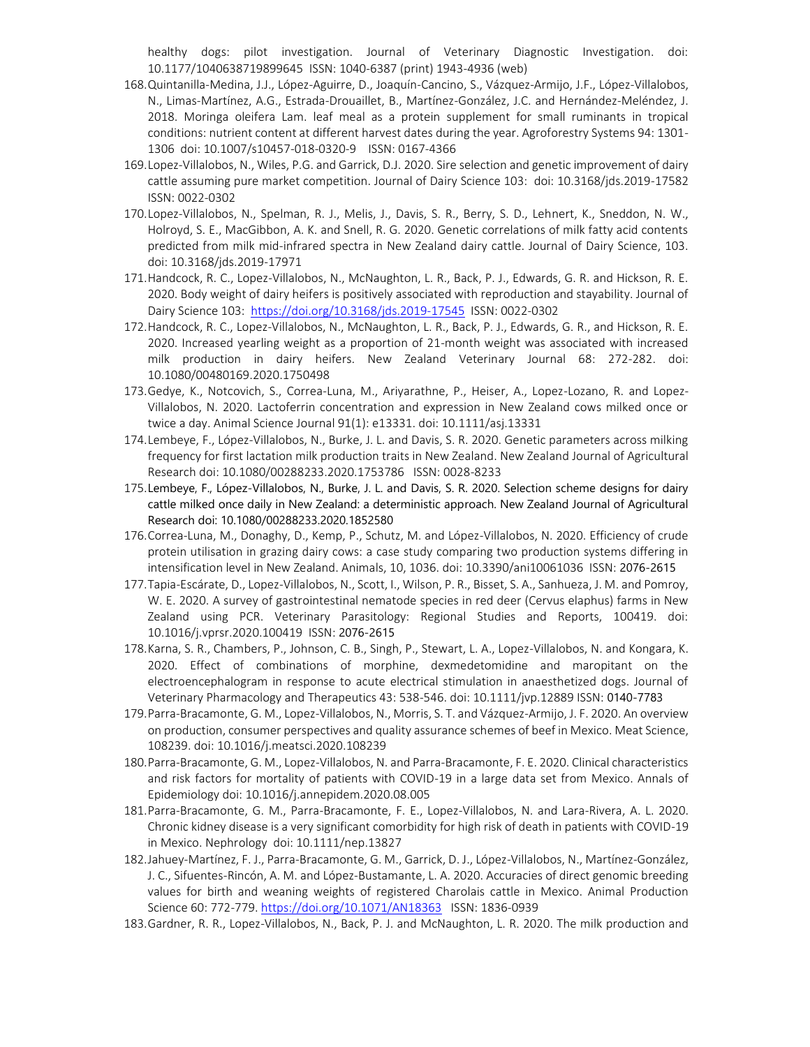healthy dogs: pilot investigation. Journal of Veterinary Diagnostic Investigation. doi: 10.1177/1040638719899645 ISSN: 1040-6387 (print) 1943-4936 (web)

- 168.Quintanilla-Medina, J.J., López-Aguirre, D., Joaquín-Cancino, S., Vázquez-Armijo, J.F., López-Villalobos, N., Limas-Martínez, A.G., Estrada-Drouaillet, B., Martínez-González, J.C. and Hernández-Meléndez, J. 2018. Moringa oleifera Lam. leaf meal as a protein supplement for small ruminants in tropical conditions: nutrient content at different harvest dates during the year. Agroforestry Systems 94: 1301- 1306 doi: 10.1007/s10457-018-0320-9 ISSN: 0167-4366
- 169.Lopez-Villalobos, N., Wiles, P.G. and Garrick, D.J. 2020. Sire selection and genetic improvement of dairy cattle assuming pure market competition. Journal of Dairy Science 103: doi: 10.3168/jds.2019-17582 ISSN: 0022-0302
- 170.Lopez-Villalobos, N., Spelman, R. J., Melis, J., Davis, S. R., Berry, S. D., Lehnert, K., Sneddon, N. W., Holroyd, S. E., MacGibbon, A. K. and Snell, R. G. 2020. Genetic correlations of milk fatty acid contents predicted from milk mid-infrared spectra in New Zealand dairy cattle. Journal of Dairy Science, 103. doi: 10.3168/jds.2019-17971
- 171.Handcock, R. C., Lopez-Villalobos, N., McNaughton, L. R., Back, P. J., Edwards, G. R. and Hickson, R. E. 2020. Body weight of dairy heifers is positively associated with reproduction and stayability. Journal of Dairy Science 103:<https://doi.org/10.3168/jds.2019-17545>ISSN: 0022-0302
- 172.Handcock, R. C., Lopez-Villalobos, N., McNaughton, L. R., Back, P. J., Edwards, G. R., and Hickson, R. E. 2020. Increased yearling weight as a proportion of 21-month weight was associated with increased milk production in dairy heifers. New Zealand Veterinary Journal 68: 272-282. doi: 10.1080/00480169.2020.1750498
- 173.Gedye, K., Notcovich, S., Correa-Luna, M., Ariyarathne, P., Heiser, A., Lopez-Lozano, R. and Lopez-Villalobos, N. 2020. Lactoferrin concentration and expression in New Zealand cows milked once or twice a day. Animal Science Journal 91(1): e13331. doi: 10.1111/asj.13331
- 174.Lembeye, F., López-Villalobos, N., Burke, J. L. and Davis, S. R. 2020. Genetic parameters across milking frequency for first lactation milk production traits in New Zealand. New Zealand Journal of Agricultural Research doi: 10.1080/00288233.2020.1753786 ISSN: 0028-8233
- 175.Lembeye, F., López-Villalobos, N., Burke, J. L. and Davis, S. R. 2020. Selection scheme designs for dairy cattle milked once daily in New Zealand: a deterministic approach. New Zealand Journal of Agricultural Research doi: 10.1080/00288233.2020.1852580
- 176.Correa-Luna, M., Donaghy, D., Kemp, P., Schutz, M. and López-Villalobos, N. 2020. Efficiency of crude protein utilisation in grazing dairy cows: a case study comparing two production systems differing in intensification level in New Zealand. Animals, 10, 1036. doi: 10.3390/ani10061036 ISSN: 2076-2615
- 177.Tapia-Escárate, D., Lopez-Villalobos, N., Scott, I., Wilson, P. R., Bisset, S. A., Sanhueza, J. M. and Pomroy, W. E. 2020. A survey of gastrointestinal nematode species in red deer (Cervus elaphus) farms in New Zealand using PCR. Veterinary Parasitology: Regional Studies and Reports, 100419. doi: 10.1016/j.vprsr.2020.100419 ISSN: 2076-2615
- 178.Karna, S. R., Chambers, P., Johnson, C. B., Singh, P., Stewart, L. A., Lopez-Villalobos, N. and Kongara, K. 2020. Effect of combinations of morphine, dexmedetomidine and maropitant on the electroencephalogram in response to acute electrical stimulation in anaesthetized dogs. Journal of Veterinary Pharmacology and Therapeutics 43: 538-546. doi: 10.1111/jvp.12889 ISSN: 0140-7783
- 179.Parra-Bracamonte, G. M., Lopez-Villalobos, N., Morris, S. T. and Vázquez-Armijo, J. F. 2020. An overview on production, consumer perspectives and quality assurance schemes of beef in Mexico. Meat Science, 108239. doi: 10.1016/j.meatsci.2020.108239
- 180.Parra-Bracamonte, G. M., Lopez-Villalobos, N. and Parra-Bracamonte, F. E. 2020. Clinical characteristics and risk factors for mortality of patients with COVID-19 in a large data set from Mexico. Annals of Epidemiology doi: 10.1016/j.annepidem.2020.08.005
- 181.Parra-Bracamonte, G. M., Parra-Bracamonte, F. E., Lopez-Villalobos, N. and Lara-Rivera, A. L. 2020. Chronic kidney disease is a very significant comorbidity for high risk of death in patients with COVID-19 in Mexico. Nephrology doi: 10.1111/nep.13827
- 182.Jahuey-Martínez, F. J., Parra-Bracamonte, G. M., Garrick, D. J., López-Villalobos, N., Martínez-González, J. C., Sifuentes-Rincón, A. M. and López-Bustamante, L. A. 2020. Accuracies of direct genomic breeding values for birth and weaning weights of registered Charolais cattle in Mexico. Animal Production Science 60: 772-779[. https://doi.org/10.1071/AN18363](https://doi.org/10.1071/AN18363) ISSN: 1836-0939
- 183.Gardner, R. R., Lopez-Villalobos, N., Back, P. J. and McNaughton, L. R. 2020. The milk production and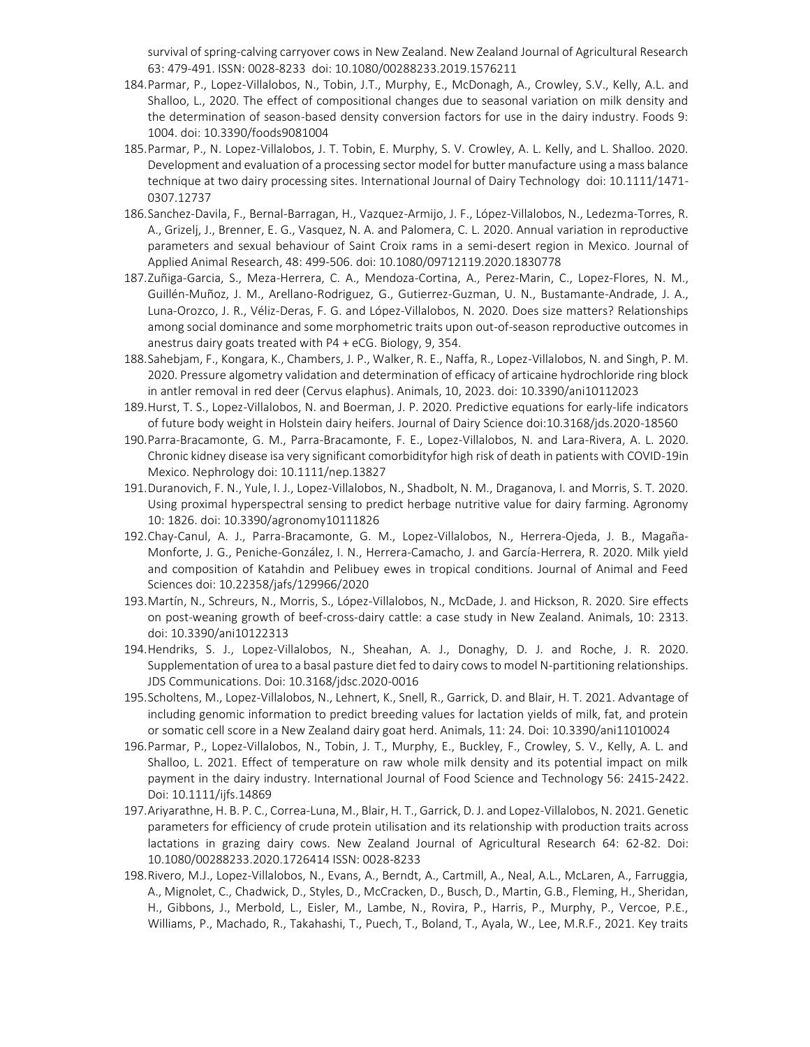survival of spring-calving carryover cows in New Zealand. New Zealand Journal of Agricultural Research 63: 479-491. ISSN: 0028-8233 doi: 10.1080/00288233.2019.1576211

- 184.Parmar, P., Lopez-Villalobos, N., Tobin, J.T., Murphy, E., McDonagh, A., Crowley, S.V., Kelly, A.L. and Shalloo, L., 2020. The effect of compositional changes due to seasonal variation on milk density and the determination of season-based density conversion factors for use in the dairy industry. Foods 9: 1004. doi: 10.3390/foods9081004
- 185.Parmar, P., N. Lopez-Villalobos, J. T. Tobin, E. Murphy, S. V. Crowley, A. L. Kelly, and L. Shalloo. 2020. Development and evaluation of a processing sector model for butter manufacture using a mass balance technique at two dairy processing sites. International Journal of Dairy Technology doi: 10.1111/1471- 0307.12737
- 186.Sanchez-Davila, F., Bernal-Barragan, H., Vazquez-Armijo, J. F., López-Villalobos, N., Ledezma-Torres, R. A., Grizelj, J., Brenner, E. G., Vasquez, N. A. and Palomera, C. L. 2020. Annual variation in reproductive parameters and sexual behaviour of Saint Croix rams in a semi-desert region in Mexico. Journal of Applied Animal Research, 48: 499-506. doi: 10.1080/09712119.2020.1830778
- 187.Zuñiga-Garcia, S., Meza-Herrera, C. A., Mendoza-Cortina, A., Perez-Marin, C., Lopez-Flores, N. M., Guillén-Muñoz, J. M., Arellano-Rodriguez, G., Gutierrez-Guzman, U. N., Bustamante-Andrade, J. A., Luna-Orozco, J. R., Véliz-Deras, F. G. and López-Villalobos, N. 2020. Does size matters? Relationships among social dominance and some morphometric traits upon out-of-season reproductive outcomes in anestrus dairy goats treated with P4 + eCG. Biology, 9, 354.
- 188.Sahebjam, F., Kongara, K., Chambers, J. P., Walker, R. E., Naffa, R., Lopez-Villalobos, N. and Singh, P. M. 2020. Pressure algometry validation and determination of efficacy of articaine hydrochloride ring block in antler removal in red deer (Cervus elaphus). Animals, 10, 2023. doi: 10.3390/ani10112023
- 189.Hurst, T. S., Lopez-Villalobos, N. and Boerman, J. P. 2020. Predictive equations for early-life indicators of future body weight in Holstein dairy heifers. Journal of Dairy Science doi:10.3168/jds.2020-18560
- 190.Parra-Bracamonte, G. M., Parra-Bracamonte, F. E., Lopez-Villalobos, N. and Lara-Rivera, A. L. 2020. Chronic kidney disease isa very significant comorbidityfor high risk of death in patients with COVID-19in Mexico. Nephrology doi: 10.1111/nep.13827
- 191.Duranovich, F. N., Yule, I. J., Lopez-Villalobos, N., Shadbolt, N. M., Draganova, I. and Morris, S. T. 2020. Using proximal hyperspectral sensing to predict herbage nutritive value for dairy farming. Agronomy 10: 1826. doi: 10.3390/agronomy10111826
- 192.Chay-Canul, A. J., Parra-Bracamonte, G. M., Lopez-Villalobos, N., Herrera-Ojeda, J. B., Magaña-Monforte, J. G., Peniche-González, I. N., Herrera-Camacho, J. and García-Herrera, R. 2020. Milk yield and composition of Katahdin and Pelibuey ewes in tropical conditions. Journal of Animal and Feed Sciences doi: 10.22358/jafs/129966/2020
- 193.Martín, N., Schreurs, N., Morris, S., López-Villalobos, N., McDade, J. and Hickson, R. 2020. Sire effects on post-weaning growth of beef-cross-dairy cattle: a case study in New Zealand. Animals, 10: 2313. doi: 10.3390/ani10122313
- 194.Hendriks, S. J., Lopez-Villalobos, N., Sheahan, A. J., Donaghy, D. J. and Roche, J. R. 2020. Supplementation of urea to a basal pasture diet fed to dairy cows to model N-partitioning relationships. JDS Communications. Doi: 10.3168/jdsc.2020-0016
- 195.Scholtens, M., Lopez-Villalobos, N., Lehnert, K., Snell, R., Garrick, D. and Blair, H. T. 2021. Advantage of including genomic information to predict breeding values for lactation yields of milk, fat, and protein or somatic cell score in a New Zealand dairy goat herd. Animals, 11: 24. Doi: 10.3390/ani11010024
- 196.Parmar, P., Lopez-Villalobos, N., Tobin, J. T., Murphy, E., Buckley, F., Crowley, S. V., Kelly, A. L. and Shalloo, L. 2021. Effect of temperature on raw whole milk density and its potential impact on milk payment in the dairy industry. International Journal of Food Science and Technology 56: 2415-2422. Doi: 10.1111/ijfs.14869
- 197.Ariyarathne, H. B. P. C., Correa-Luna, M., Blair, H. T., Garrick, D. J. and Lopez-Villalobos, N. 2021. Genetic parameters for efficiency of crude protein utilisation and its relationship with production traits across lactations in grazing dairy cows. New Zealand Journal of Agricultural Research 64: 62-82. Doi: 10.1080/00288233.2020.1726414 ISSN: 0028-8233
- 198.Rivero, M.J., Lopez-Villalobos, N., Evans, A., Berndt, A., Cartmill, A., Neal, A.L., McLaren, A., Farruggia, A., Mignolet, C., Chadwick, D., Styles, D., McCracken, D., Busch, D., Martin, G.B., Fleming, H., Sheridan, H., Gibbons, J., Merbold, L., Eisler, M., Lambe, N., Rovira, P., Harris, P., Murphy, P., Vercoe, P.E., Williams, P., Machado, R., Takahashi, T., Puech, T., Boland, T., Ayala, W., Lee, M.R.F., 2021. Key traits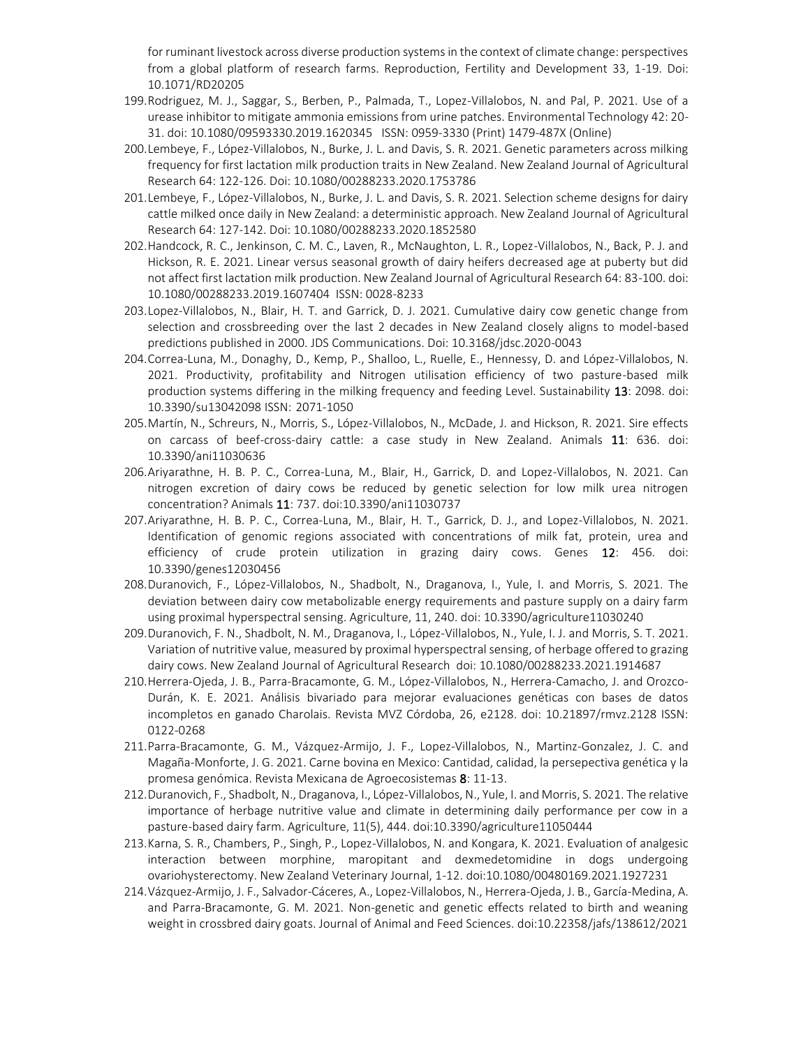for ruminant livestock across diverse production systems in the context of climate change: perspectives from a global platform of research farms. Reproduction, Fertility and Development 33, 1-19. Doi: 10.1071/RD20205

- 199.Rodriguez, M. J., Saggar, S., Berben, P., Palmada, T., Lopez-Villalobos, N. and Pal, P. 2021. Use of a urease inhibitor to mitigate ammonia emissions from urine patches. Environmental Technology 42: 20- 31. doi: 10.1080/09593330.2019.1620345 ISSN: 0959-3330 (Print) 1479-487X (Online)
- 200.Lembeye, F., López-Villalobos, N., Burke, J. L. and Davis, S. R. 2021. Genetic parameters across milking frequency for first lactation milk production traits in New Zealand. New Zealand Journal of Agricultural Research 64: 122-126. Doi: 10.1080/00288233.2020.1753786
- 201.Lembeye, F., López-Villalobos, N., Burke, J. L. and Davis, S. R. 2021. Selection scheme designs for dairy cattle milked once daily in New Zealand: a deterministic approach. New Zealand Journal of Agricultural Research 64: 127-142. Doi: 10.1080/00288233.2020.1852580
- 202.Handcock, R. C., Jenkinson, C. M. C., Laven, R., McNaughton, L. R., Lopez-Villalobos, N., Back, P. J. and Hickson, R. E. 2021. Linear versus seasonal growth of dairy heifers decreased age at puberty but did not affect first lactation milk production. New Zealand Journal of Agricultural Research 64: 83-100. doi: 10.1080/00288233.2019.1607404 ISSN: 0028-8233
- 203.Lopez-Villalobos, N., Blair, H. T. and Garrick, D. J. 2021. Cumulative dairy cow genetic change from selection and crossbreeding over the last 2 decades in New Zealand closely aligns to model-based predictions published in 2000. JDS Communications. Doi: 10.3168/jdsc.2020-0043
- 204.Correa-Luna, M., Donaghy, D., Kemp, P., Shalloo, L., Ruelle, E., Hennessy, D. and López-Villalobos, N. 2021. Productivity, profitability and Nitrogen utilisation efficiency of two pasture-based milk production systems differing in the milking frequency and feeding Level. Sustainability 13: 2098. doi: 10.3390/su13042098 ISSN: 2071-1050
- 205.Martín, N., Schreurs, N., Morris, S., López-Villalobos, N., McDade, J. and Hickson, R. 2021. Sire effects on carcass of beef-cross-dairy cattle: a case study in New Zealand. Animals 11: 636. doi: 10.3390/ani11030636
- 206.Ariyarathne, H. B. P. C., Correa-Luna, M., Blair, H., Garrick, D. and Lopez-Villalobos, N. 2021. Can nitrogen excretion of dairy cows be reduced by genetic selection for low milk urea nitrogen concentration? Animals 11: 737. doi:10.3390/ani11030737
- 207.Ariyarathne, H. B. P. C., Correa-Luna, M., Blair, H. T., Garrick, D. J., and Lopez-Villalobos, N. 2021. Identification of genomic regions associated with concentrations of milk fat, protein, urea and efficiency of crude protein utilization in grazing dairy cows. Genes 12: 456. doi: 10.3390/genes12030456
- 208.Duranovich, F., López-Villalobos, N., Shadbolt, N., Draganova, I., Yule, I. and Morris, S. 2021. The deviation between dairy cow metabolizable energy requirements and pasture supply on a dairy farm using proximal hyperspectral sensing. Agriculture, 11, 240. doi: 10.3390/agriculture11030240
- 209.Duranovich, F. N., Shadbolt, N. M., Draganova, I., López-Villalobos, N., Yule, I. J. and Morris, S. T. 2021. Variation of nutritive value, measured by proximal hyperspectral sensing, of herbage offered to grazing dairy cows. New Zealand Journal of Agricultural Research doi: 10.1080/00288233.2021.1914687
- 210.Herrera-Ojeda, J. B., Parra-Bracamonte, G. M., López-Villalobos, N., Herrera-Camacho, J. and Orozco-Durán, K. E. 2021. Análisis bivariado para mejorar evaluaciones genéticas con bases de datos incompletos en ganado Charolais. Revista MVZ Córdoba, 26, e2128. doi: 10.21897/rmvz.2128 ISSN: 0122-0268
- 211.Parra-Bracamonte, G. M., Vázquez-Armijo, J. F., Lopez-Villalobos, N., Martinz-Gonzalez, J. C. and Magaña-Monforte, J. G. 2021. Carne bovina en Mexico: Cantidad, calidad, la persepectiva genética y la promesa genómica. Revista Mexicana de Agroecosistemas 8: 11-13.
- 212.Duranovich, F., Shadbolt, N., Draganova, I., López-Villalobos, N., Yule, I. and Morris, S. 2021. The relative importance of herbage nutritive value and climate in determining daily performance per cow in a pasture-based dairy farm. Agriculture, 11(5), 444. doi:10.3390/agriculture11050444
- 213.Karna, S. R., Chambers, P., Singh, P., Lopez-Villalobos, N. and Kongara, K. 2021. Evaluation of analgesic interaction between morphine, maropitant and dexmedetomidine in dogs undergoing ovariohysterectomy. New Zealand Veterinary Journal, 1-12. doi:10.1080/00480169.2021.1927231
- 214.Vázquez-Armijo, J. F., Salvador-Cáceres, A., Lopez-Villalobos, N., Herrera-Ojeda, J. B., García-Medina, A. and Parra-Bracamonte, G. M. 2021. Non-genetic and genetic effects related to birth and weaning weight in crossbred dairy goats. Journal of Animal and Feed Sciences. doi:10.22358/jafs/138612/2021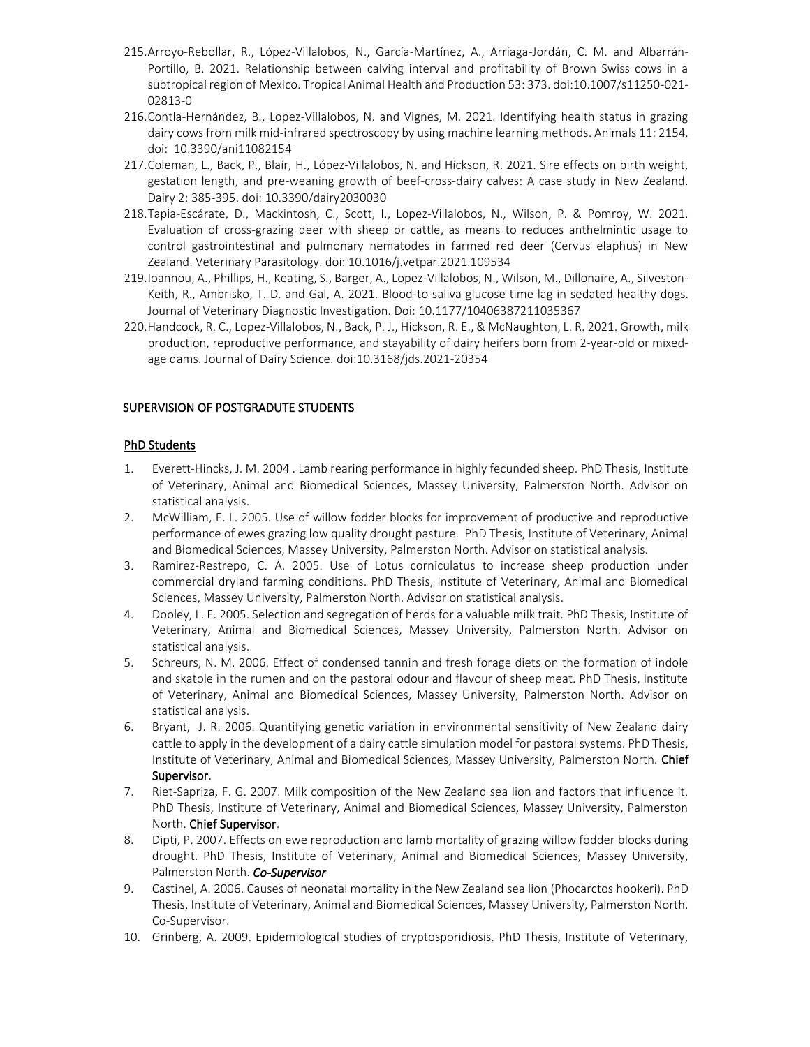- 215.Arroyo-Rebollar, R., López-Villalobos, N., García-Martínez, A., Arriaga-Jordán, C. M. and Albarrán-Portillo, B. 2021. Relationship between calving interval and profitability of Brown Swiss cows in a subtropical region of Mexico. Tropical Animal Health and Production 53: 373. doi:10.1007/s11250-021- 02813-0
- 216.Contla-Hernández, B., Lopez-Villalobos, N. and Vignes, M. 2021. Identifying health status in grazing dairy cows from milk mid-infrared spectroscopy by using machine learning methods. Animals 11: 2154. doi: 10.3390/ani11082154
- 217.Coleman, L., Back, P., Blair, H., López-Villalobos, N. and Hickson, R. 2021. Sire effects on birth weight, gestation length, and pre-weaning growth of beef-cross-dairy calves: A case study in New Zealand. Dairy 2: 385-395. doi: 10.3390/dairy2030030
- 218.Tapia-Escárate, D., Mackintosh, C., Scott, I., Lopez-Villalobos, N., Wilson, P. & Pomroy, W. 2021. Evaluation of cross-grazing deer with sheep or cattle, as means to reduces anthelmintic usage to control gastrointestinal and pulmonary nematodes in farmed red deer (Cervus elaphus) in New Zealand. Veterinary Parasitology. doi: 10.1016/j.vetpar.2021.109534
- 219.Ioannou, A., Phillips, H., Keating, S., Barger, A., Lopez-Villalobos, N., Wilson, M., Dillonaire, A., Silveston-Keith, R., Ambrisko, T. D. and Gal, A. 2021. Blood-to-saliva glucose time lag in sedated healthy dogs. Journal of Veterinary Diagnostic Investigation. Doi: 10.1177/10406387211035367
- 220.Handcock, R. C., Lopez-Villalobos, N., Back, P. J., Hickson, R. E., & McNaughton, L. R. 2021. Growth, milk production, reproductive performance, and stayability of dairy heifers born from 2-year-old or mixedage dams. Journal of Dairy Science. doi:10.3168/jds.2021-20354

## SUPERVISION OF POSTGRADUTE STUDENTS

## PhD Students

- 1. Everett-Hincks, J. M. 2004 . Lamb rearing performance in highly fecunded sheep. PhD Thesis, Institute of Veterinary, Animal and Biomedical Sciences, Massey University, Palmerston North. Advisor on statistical analysis.
- 2. McWilliam, E. L. 2005. Use of willow fodder blocks for improvement of productive and reproductive performance of ewes grazing low quality drought pasture. PhD Thesis, Institute of Veterinary, Animal and Biomedical Sciences, Massey University, Palmerston North. Advisor on statistical analysis.
- 3. Ramirez-Restrepo, C. A. 2005. Use of Lotus corniculatus to increase sheep production under commercial dryland farming conditions. PhD Thesis, Institute of Veterinary, Animal and Biomedical Sciences, Massey University, Palmerston North. Advisor on statistical analysis.
- 4. Dooley, L. E. 2005. Selection and segregation of herds for a valuable milk trait. PhD Thesis, Institute of Veterinary, Animal and Biomedical Sciences, Massey University, Palmerston North. Advisor on statistical analysis.
- 5. Schreurs, N. M. 2006. Effect of condensed tannin and fresh forage diets on the formation of indole and skatole in the rumen and on the pastoral odour and flavour of sheep meat. PhD Thesis, Institute of Veterinary, Animal and Biomedical Sciences, Massey University, Palmerston North. Advisor on statistical analysis.
- 6. Bryant, J. R. 2006. Quantifying genetic variation in environmental sensitivity of New Zealand dairy cattle to apply in the development of a dairy cattle simulation model for pastoral systems. PhD Thesis, Institute of Veterinary, Animal and Biomedical Sciences, Massey University, Palmerston North. Chief Supervisor.
- 7. Riet-Sapriza, F. G. 2007. Milk composition of the New Zealand sea lion and factors that influence it. PhD Thesis, Institute of Veterinary, Animal and Biomedical Sciences, Massey University, Palmerston North. Chief Supervisor.
- 8. Dipti, P. 2007. Effects on ewe reproduction and lamb mortality of grazing willow fodder blocks during drought. PhD Thesis, Institute of Veterinary, Animal and Biomedical Sciences, Massey University, Palmerston North. *Co-Supervisor*
- 9. Castinel, A. 2006. Causes of neonatal mortality in the New Zealand sea lion (Phocarctos hookeri). PhD Thesis, Institute of Veterinary, Animal and Biomedical Sciences, Massey University, Palmerston North. Co-Supervisor.
- 10. Grinberg, A. 2009. Epidemiological studies of cryptosporidiosis. PhD Thesis, Institute of Veterinary,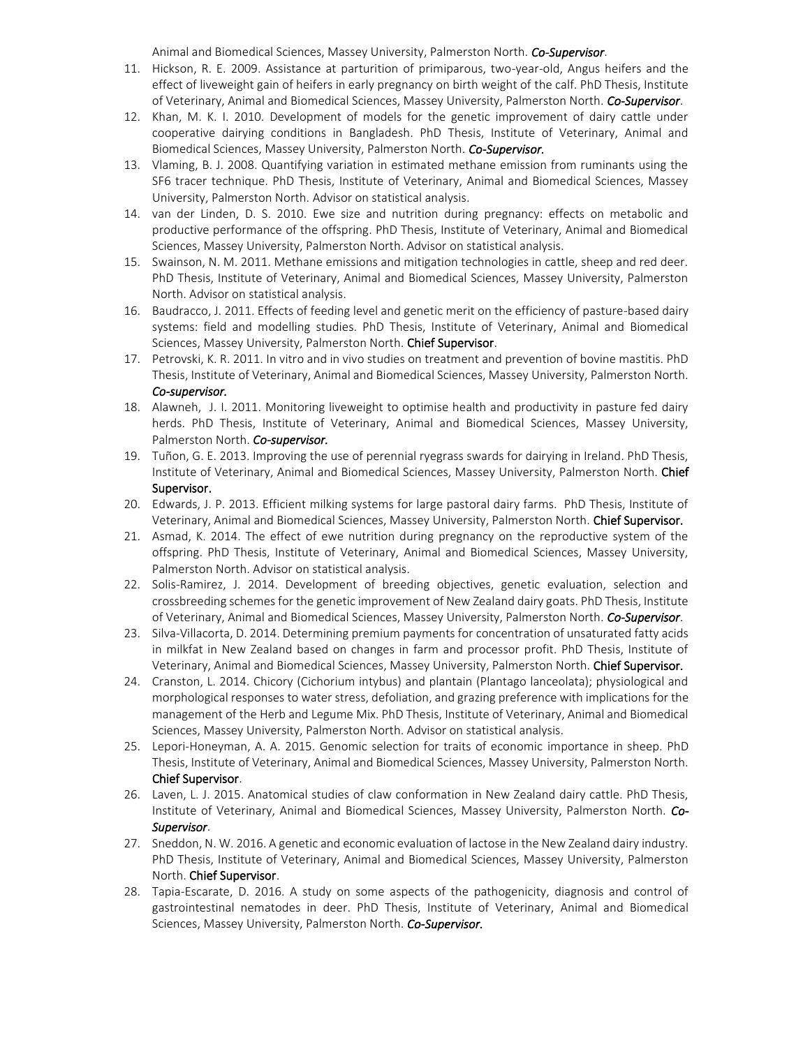Animal and Biomedical Sciences, Massey University, Palmerston North. *Co-Supervisor*.

- 11. Hickson, R. E. 2009. Assistance at parturition of primiparous, two-year-old, Angus heifers and the effect of liveweight gain of heifers in early pregnancy on birth weight of the calf. PhD Thesis, Institute of Veterinary, Animal and Biomedical Sciences, Massey University, Palmerston North. *Co-Supervisor*.
- 12. Khan, M. K. I. 2010. Development of models for the genetic improvement of dairy cattle under cooperative dairying conditions in Bangladesh. PhD Thesis, Institute of Veterinary, Animal and Biomedical Sciences, Massey University, Palmerston North. *Co-Supervisor.*
- 13. Vlaming, B. J. 2008. Quantifying variation in estimated methane emission from ruminants using the SF6 tracer technique. PhD Thesis, Institute of Veterinary, Animal and Biomedical Sciences, Massey University, Palmerston North. Advisor on statistical analysis.
- 14. van der Linden, D. S. 2010. Ewe size and nutrition during pregnancy: effects on metabolic and productive performance of the offspring. PhD Thesis, Institute of Veterinary, Animal and Biomedical Sciences, Massey University, Palmerston North. Advisor on statistical analysis.
- 15. [Swainson,](http://kea.massey.ac.nz/search~S1?/aSwainson%2C+Natasha+Madeleine/aswainson+natasha+madeleine/-3,-1,0,B/browse) N. M. 2011. Methane emissions and mitigation technologies in cattle, sheep and red deer. PhD Thesis, Institute of Veterinary, Animal and Biomedical Sciences, Massey University, Palmerston North. Advisor on statistical analysis.
- 16. Baudracco, J. 2011. Effects of feeding level and genetic merit on the efficiency of pasture-based dairy systems: field and modelling studies. PhD Thesis, Institute of Veterinary, Animal and Biomedical Sciences, Massey University, Palmerston North. Chief Supervisor.
- 17. Petrovski, K. R. 2011. In vitro and in vivo studies on treatment and prevention of bovine mastitis. PhD Thesis, Institute of Veterinary, Animal and Biomedical Sciences, Massey University, Palmerston North. *Co-supervisor.*
- 18. Alawneh, J. I. 2011. Monitoring liveweight to optimise health and productivity in pasture fed dairy herds. PhD Thesis, Institute of Veterinary, Animal and Biomedical Sciences, Massey University, Palmerston North. *Co-supervisor.*
- 19. Tuñon, G. E. 2013. Improving the use of perennial ryegrass swards for dairying in Ireland. PhD Thesis, Institute of Veterinary, Animal and Biomedical Sciences, Massey University, Palmerston North. Chief Supervisor.
- 20. Edwards, J. P. 2013. Efficient milking systems for large pastoral dairy farms. PhD Thesis, Institute of Veterinary, Animal and Biomedical Sciences, Massey University, Palmerston North. Chief Supervisor.
- 21. Asmad, K. 2014. The effect of ewe nutrition during pregnancy on the reproductive system of the offspring. PhD Thesis, Institute of Veterinary, Animal and Biomedical Sciences, Massey University, Palmerston North. Advisor on statistical analysis.
- 22. Solis-Ramirez, J. 2014. Development of breeding objectives, genetic evaluation, selection and crossbreeding schemes for the genetic improvement of New Zealand dairy goats. PhD Thesis, Institute of Veterinary, Animal and Biomedical Sciences, Massey University, Palmerston North. *Co-Supervisor*.
- 23. Silva-Villacorta, D. 2014. Determining premium payments for concentration of unsaturated fatty acids in milkfat in New Zealand based on changes in farm and processor profit. PhD Thesis, Institute of Veterinary, Animal and Biomedical Sciences, Massey University, Palmerston North. Chief Supervisor.
- 24. Cranston, L. 2014. Chicory (Cichorium intybus) and plantain (Plantago lanceolata); physiological and morphological responses to water stress, defoliation, and grazing preference with implications for the management of the Herb and Legume Mix. PhD Thesis, Institute of Veterinary, Animal and Biomedical Sciences, Massey University, Palmerston North. Advisor on statistical analysis.
- 25. Lepori-Honeyman, A. A. 2015. Genomic selection for traits of economic importance in sheep. PhD Thesis, Institute of Veterinary, Animal and Biomedical Sciences, Massey University, Palmerston North. Chief Supervisor.
- 26. Laven, L. J. 2015. Anatomical studies of claw conformation in New Zealand dairy cattle. PhD Thesis, Institute of Veterinary, Animal and Biomedical Sciences, Massey University, Palmerston North. *Co-Supervisor*.
- 27. Sneddon, N. W. 2016. A genetic and economic evaluation of lactose in the New Zealand dairy industry. PhD Thesis, Institute of Veterinary, Animal and Biomedical Sciences, Massey University, Palmerston North. Chief Supervisor.
- 28. Tapia-Escarate, D. 2016. A study on some aspects of the pathogenicity, diagnosis and control of gastrointestinal nematodes in deer. PhD Thesis, Institute of Veterinary, Animal and Biomedical Sciences, Massey University, Palmerston North. *Co-Supervisor.*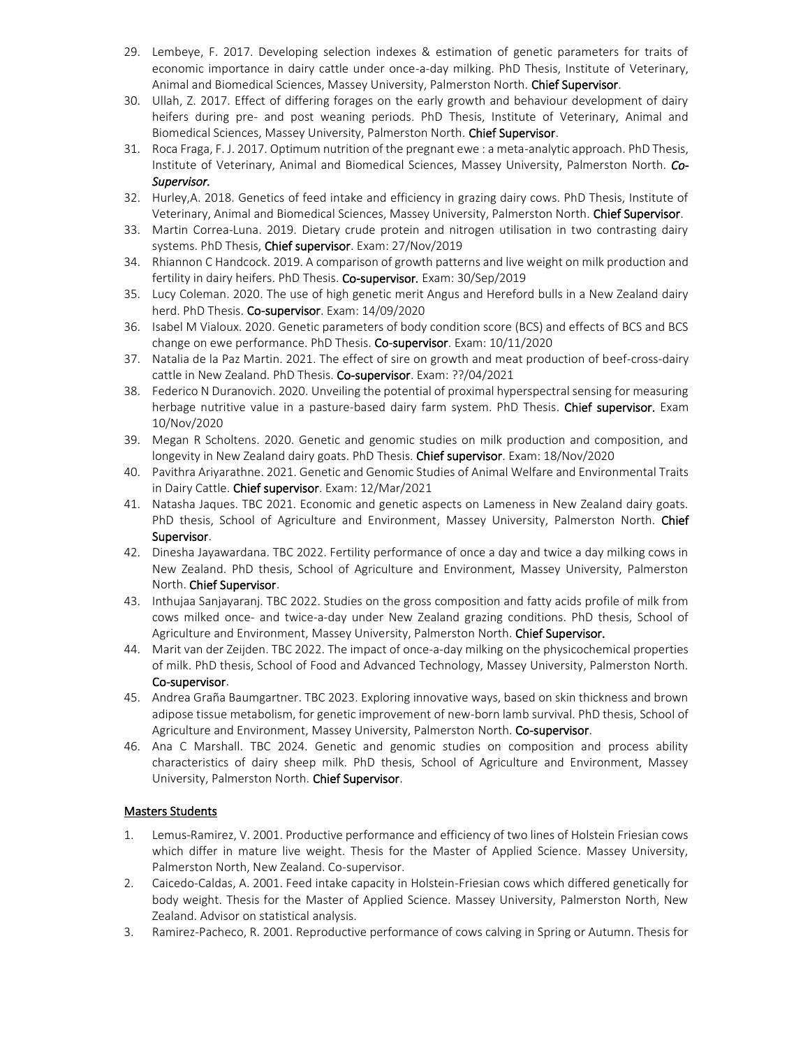- 29. Lembeye, F. 2017. Developing selection indexes & estimation of genetic parameters for traits of economic importance in dairy cattle under once-a-day milking. PhD Thesis, Institute of Veterinary, Animal and Biomedical Sciences, Massey University, Palmerston North. Chief Supervisor.
- 30. Ullah, Z. 2017. Effect of differing forages on the early growth and behaviour development of dairy heifers during pre- and post weaning periods. PhD Thesis, Institute of Veterinary, Animal and Biomedical Sciences, Massey University, Palmerston North. Chief Supervisor.
- 31. Roca Fraga, F. J. 2017. Optimum nutrition of the pregnant ewe : a meta-analytic approach. PhD Thesis, Institute of Veterinary, Animal and Biomedical Sciences, Massey University, Palmerston North. *Co-Supervisor.*
- 32. Hurley,A. 2018. Genetics of feed intake and efficiency in grazing dairy cows. PhD Thesis, Institute of Veterinary, Animal and Biomedical Sciences, Massey University, Palmerston North. Chief Supervisor.
- 33. Martin Correa-Luna. 2019. Dietary crude protein and nitrogen utilisation in two contrasting dairy systems. PhD Thesis, Chief supervisor. Exam: 27/Nov/2019
- 34. Rhiannon C Handcock. 2019. A comparison of growth patterns and live weight on milk production and fertility in dairy heifers. PhD Thesis. Co-supervisor*.* Exam: 30/Sep/2019
- 35. Lucy Coleman. 2020. The use of high genetic merit Angus and Hereford bulls in a New Zealand dairy herd. PhD Thesis. Co-supervisor. Exam: 14/09/2020
- 36. Isabel M Vialoux. 2020. Genetic parameters of body condition score (BCS) and effects of BCS and BCS change on ewe performance. PhD Thesis. Co-supervisor. Exam: 10/11/2020
- 37. Natalia de la Paz Martin. 2021. The effect of sire on growth and meat production of beef-cross-dairy cattle in New Zealand. PhD Thesis. Co-supervisor. Exam: ??/04/2021
- 38. Federico N Duranovich. 2020. Unveiling the potential of proximal hyperspectral sensing for measuring herbage nutritive value in a pasture-based dairy farm system. PhD Thesis. Chief supervisor. Exam 10/Nov/2020
- 39. Megan R Scholtens. 2020. Genetic and genomic studies on milk production and composition, and longevity in New Zealand dairy goats. PhD Thesis. Chief supervisor. Exam: 18/Nov/2020
- 40. Pavithra Ariyarathne. 2021. Genetic and Genomic Studies of Animal Welfare and Environmental Traits in Dairy Cattle. Chief supervisor. Exam: 12/Mar/2021
- 41. Natasha Jaques. TBC 2021. Economic and genetic aspects on Lameness in New Zealand dairy goats. PhD thesis, School of Agriculture and Environment, Massey University, Palmerston North. Chief Supervisor.
- 42. Dinesha Jayawardana. TBC 2022. Fertility performance of once a day and twice a day milking cows in New Zealand. PhD thesis, School of Agriculture and Environment, Massey University, Palmerston North. Chief Supervisor.
- 43. Inthujaa Sanjayaranj. TBC 2022. Studies on the gross composition and fatty acids profile of milk from cows milked once- and twice-a-day under New Zealand grazing conditions. PhD thesis, School of Agriculture and Environment, Massey University, Palmerston North. Chief Supervisor.
- 44. Marit van der Zeijden. TBC 2022. The impact of once-a-day milking on the physicochemical properties of milk. PhD thesis, School of Food and Advanced Technology, Massey University, Palmerston North. Co-supervisor.
- 45. Andrea Graña Baumgartner. TBC 2023. Exploring innovative ways, based on skin thickness and brown adipose tissue metabolism, for genetic improvement of new-born lamb survival. PhD thesis, School of Agriculture and Environment, Massey University, Palmerston North. Co-supervisor.
- 46. Ana C Marshall. TBC 2024. Genetic and genomic studies on composition and process ability characteristics of dairy sheep milk. PhD thesis, School of Agriculture and Environment, Massey University, Palmerston North. Chief Supervisor.

### Masters Students

- 1. Lemus-Ramirez, V. 2001. Productive performance and efficiency of two lines of Holstein Friesian cows which differ in mature live weight. Thesis for the Master of Applied Science. Massey University, Palmerston North, New Zealand. Co-supervisor.
- 2. Caicedo-Caldas, A. 2001. Feed intake capacity in Holstein-Friesian cows which differed genetically for body weight. Thesis for the Master of Applied Science. Massey University, Palmerston North, New Zealand. Advisor on statistical analysis.
- 3. Ramirez-Pacheco, R. 2001. Reproductive performance of cows calving in Spring or Autumn. Thesis for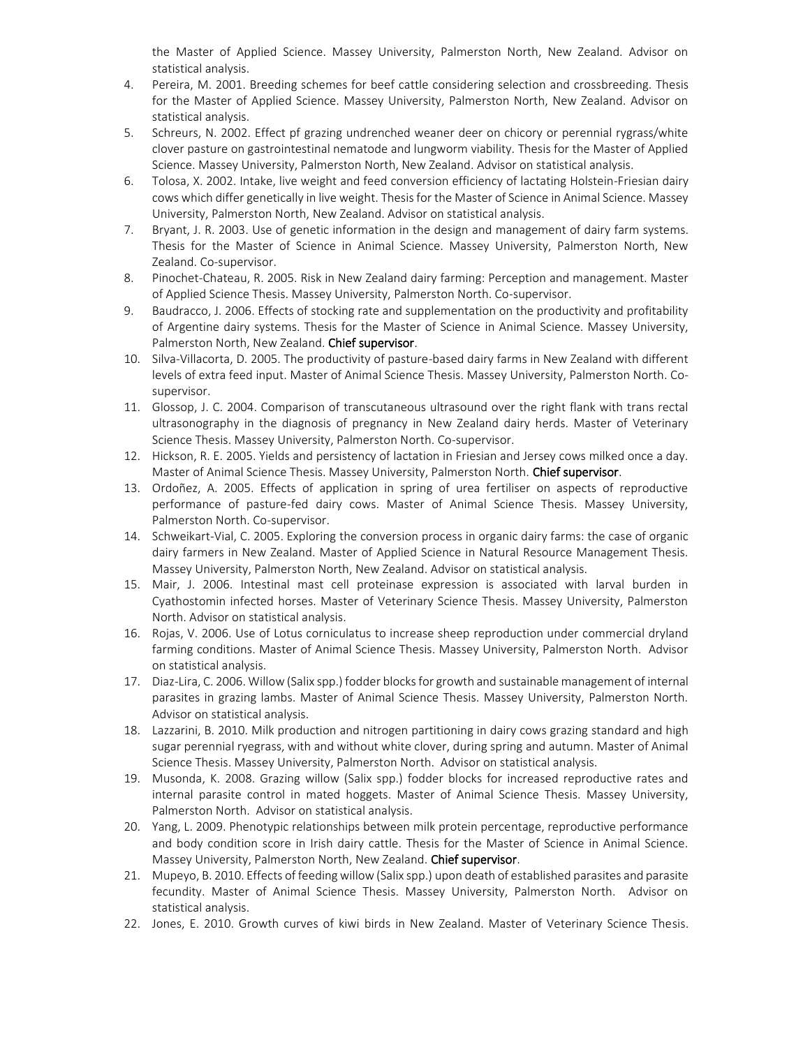the Master of Applied Science. Massey University, Palmerston North, New Zealand. Advisor on statistical analysis.

- 4. Pereira, M. 2001. Breeding schemes for beef cattle considering selection and crossbreeding. Thesis for the Master of Applied Science. Massey University, Palmerston North, New Zealand. Advisor on statistical analysis.
- 5. Schreurs, N. 2002. Effect pf grazing undrenched weaner deer on chicory or perennial rygrass/white clover pasture on gastrointestinal nematode and lungworm viability. Thesis for the Master of Applied Science. Massey University, Palmerston North, New Zealand. Advisor on statistical analysis.
- 6. Tolosa, X. 2002. Intake, live weight and feed conversion efficiency of lactating Holstein-Friesian dairy cows which differ genetically in live weight. Thesis for the Master of Science in Animal Science. Massey University, Palmerston North, New Zealand. Advisor on statistical analysis.
- 7. Bryant, J. R. 2003. Use of genetic information in the design and management of dairy farm systems. Thesis for the Master of Science in Animal Science. Massey University, Palmerston North, New Zealand. Co-supervisor.
- 8. Pinochet-Chateau, R. 2005. Risk in New Zealand dairy farming: Perception and management. Master of Applied Science Thesis. Massey University, Palmerston North. Co-supervisor.
- 9. Baudracco, J. 2006. Effects of stocking rate and supplementation on the productivity and profitability of Argentine dairy systems. Thesis for the Master of Science in Animal Science. Massey University, Palmerston North, New Zealand. Chief supervisor.
- 10. Silva-Villacorta, D. 2005. The productivity of pasture-based dairy farms in New Zealand with different levels of extra feed input. Master of Animal Science Thesis. Massey University, Palmerston North. Cosupervisor.
- 11. Glossop, J. C. 2004. Comparison of transcutaneous ultrasound over the right flank with trans rectal ultrasonography in the diagnosis of pregnancy in New Zealand dairy herds. Master of Veterinary Science Thesis. Massey University, Palmerston North. Co-supervisor.
- 12. Hickson, R. E. 2005. Yields and persistency of lactation in Friesian and Jersey cows milked once a day. Master of Animal Science Thesis. Massey University, Palmerston North. Chief supervisor.
- 13. Ordoñez, A. 2005. Effects of application in spring of urea fertiliser on aspects of reproductive performance of pasture-fed dairy cows. Master of Animal Science Thesis. Massey University, Palmerston North. Co-supervisor.
- 14. Schweikart-Vial, C. 2005. Exploring the conversion process in organic dairy farms: the case of organic dairy farmers in New Zealand. Master of Applied Science in Natural Resource Management Thesis. Massey University, Palmerston North, New Zealand. Advisor on statistical analysis.
- 15. Mair, J. 2006. Intestinal mast cell proteinase expression is associated with larval burden in Cyathostomin infected horses. Master of Veterinary Science Thesis. Massey University, Palmerston North. Advisor on statistical analysis.
- 16. Rojas, V. 2006. Use of Lotus corniculatus to increase sheep reproduction under commercial dryland farming conditions. Master of Animal Science Thesis. Massey University, Palmerston North. Advisor on statistical analysis.
- 17. Diaz-Lira, C. 2006. Willow (Salix spp.) fodder blocks for growth and sustainable management of internal parasites in grazing lambs. Master of Animal Science Thesis. Massey University, Palmerston North. Advisor on statistical analysis.
- 18. Lazzarini, B. 2010. Milk production and nitrogen partitioning in dairy cows grazing standard and high sugar perennial ryegrass, with and without white clover, during spring and autumn. Master of Animal Science Thesis. Massey University, Palmerston North. Advisor on statistical analysis.
- 19. Musonda, K. 2008. Grazing willow (Salix spp.) fodder blocks for increased reproductive rates and internal parasite control in mated hoggets. Master of Animal Science Thesis. Massey University, Palmerston North. Advisor on statistical analysis.
- 20. Yang, L. 2009. Phenotypic relationships between milk protein percentage, reproductive performance and body condition score in Irish dairy cattle. Thesis for the Master of Science in Animal Science. Massey University, Palmerston North, New Zealand. Chief supervisor.
- 21. Mupeyo, B. 2010. Effects of feeding willow (Salix spp.) upon death of established parasites and parasite fecundity. Master of Animal Science Thesis. Massey University, Palmerston North. Advisor on statistical analysis.
- 22. Jones, E. 2010. Growth curves of kiwi birds in New Zealand. Master of Veterinary Science Thesis.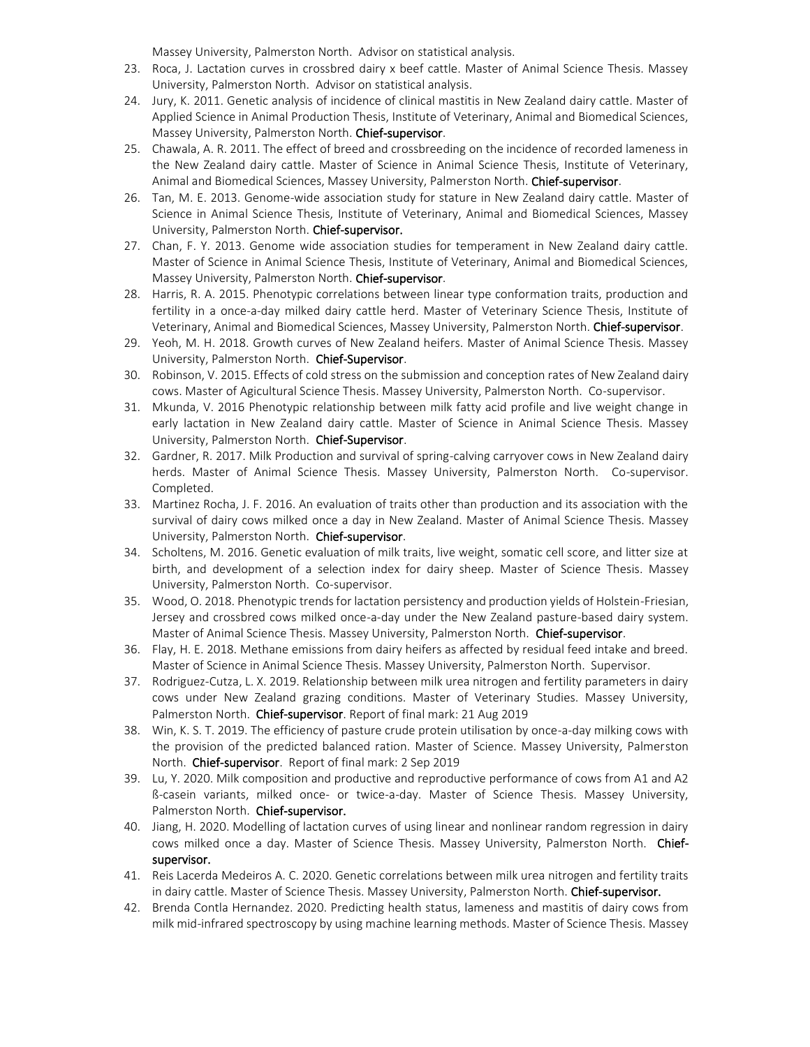Massey University, Palmerston North. Advisor on statistical analysis.

- 23. Roca, J. Lactation curves in crossbred dairy x beef cattle. Master of Animal Science Thesis. Massey University, Palmerston North. Advisor on statistical analysis.
- 24. Jury, K. 2011. Genetic analysis of incidence of clinical mastitis in New Zealand dairy cattle. Master of Applied Science in Animal Production Thesis, Institute of Veterinary, Animal and Biomedical Sciences, Massey University, Palmerston North. Chief-supervisor.
- 25. Chawala, A. R. 2011. The effect of breed and crossbreeding on the incidence of recorded lameness in the New Zealand dairy cattle. Master of Science in Animal Science Thesis, Institute of Veterinary, Animal and Biomedical Sciences, Massey University, Palmerston North. Chief-supervisor.
- 26. Tan, M. E. 2013. Genome-wide association study for stature in New Zealand dairy cattle. Master of Science in Animal Science Thesis, Institute of Veterinary, Animal and Biomedical Sciences, Massey University, Palmerston North. Chief-supervisor.
- 27. Chan, F. Y. 2013. Genome wide association studies for temperament in New Zealand dairy cattle. Master of Science in Animal Science Thesis, Institute of Veterinary, Animal and Biomedical Sciences, Massey University, Palmerston North. Chief-supervisor.
- 28. Harris, R. A. 2015. Phenotypic correlations between linear type conformation traits, production and fertility in a once-a-day milked dairy cattle herd. Master of Veterinary Science Thesis, Institute of Veterinary, Animal and Biomedical Sciences, Massey University, Palmerston North. Chief-supervisor.
- 29. Yeoh, M. H. 2018. Growth curves of New Zealand heifers. Master of Animal Science Thesis. Massey University, Palmerston North. Chief-Supervisor.
- 30. Robinson, V. 2015. Effects of cold stress on the submission and conception rates of New Zealand dairy cows. Master of Agicultural Science Thesis. Massey University, Palmerston North. Co-supervisor.
- 31. Mkunda, V. 2016 Phenotypic relationship between milk fatty acid profile and live weight change in early lactation in New Zealand dairy cattle. Master of Science in Animal Science Thesis. Massey University, Palmerston North. Chief-Supervisor.
- 32. Gardner, R. 2017. Milk Production and survival of spring-calving carryover cows in New Zealand dairy herds. Master of Animal Science Thesis. Massey University, Palmerston North. Co-supervisor. Completed.
- 33. Martinez Rocha, J. F. 2016. An evaluation of traits other than production and its association with the survival of dairy cows milked once a day in New Zealand. Master of Animal Science Thesis. Massey University, Palmerston North. Chief-supervisor.
- 34. Scholtens, M. 2016. Genetic evaluation of milk traits, live weight, somatic cell score, and litter size at birth, and development of a selection index for dairy sheep. Master of Science Thesis. Massey University, Palmerston North. Co-supervisor.
- 35. Wood, O. 2018. Phenotypic trends for lactation persistency and production yields of Holstein-Friesian, Jersey and crossbred cows milked once-a-day under the New Zealand pasture-based dairy system. Master of Animal Science Thesis. Massey University, Palmerston North. Chief-supervisor.
- 36. Flay, H. E. 2018. Methane emissions from dairy heifers as affected by residual feed intake and breed. Master of Science in Animal Science Thesis. Massey University, Palmerston North. Supervisor.
- 37. Rodriguez-Cutza, L. X. 2019. Relationship between milk urea nitrogen and fertility parameters in dairy cows under New Zealand grazing conditions. Master of Veterinary Studies. Massey University, Palmerston North. Chief-supervisor. Report of final mark: 21 Aug 2019
- 38. Win, K. S. T. 2019. The efficiency of pasture crude protein utilisation by once-a-day milking cows with the provision of the predicted balanced ration. Master of Science. Massey University, Palmerston North. Chief-supervisor. Report of final mark: 2 Sep 2019
- 39. Lu, Y. 2020. Milk composition and productive and reproductive performance of cows from A1 and A2 ß-casein variants, milked once- or twice-a-day. Master of Science Thesis. Massey University, Palmerston North. Chief-supervisor.
- 40. Jiang, H. 2020. Modelling of lactation curves of using linear and nonlinear random regression in dairy cows milked once a day. Master of Science Thesis. Massey University, Palmerston North. Chiefsupervisor.
- 41. Reis Lacerda Medeiros A. C. 2020. Genetic correlations between milk urea nitrogen and fertility traits in dairy cattle. Master of Science Thesis. Massey University, Palmerston North. Chief-supervisor.
- 42. Brenda Contla Hernandez. 2020. Predicting health status, lameness and mastitis of dairy cows from milk mid-infrared spectroscopy by using machine learning methods. Master of Science Thesis. Massey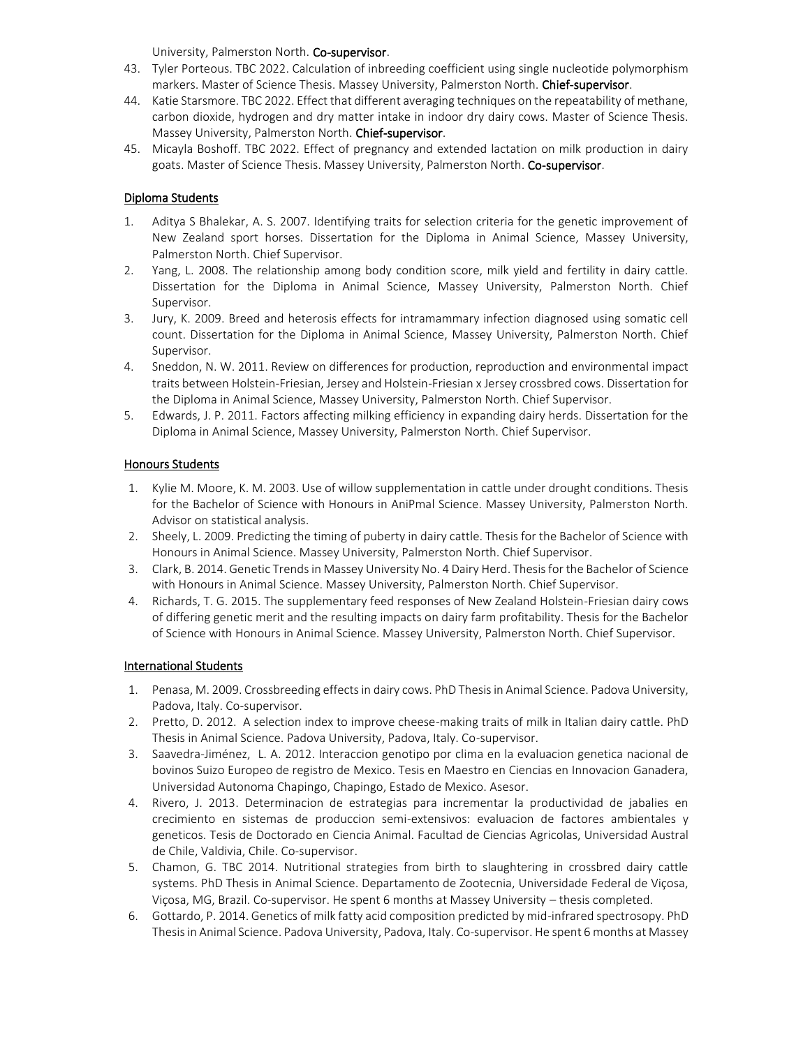University, Palmerston North. Co-supervisor.

- 43. Tyler Porteous. TBC 2022. Calculation of inbreeding coefficient using single nucleotide polymorphism markers. Master of Science Thesis. Massey University, Palmerston North. Chief-supervisor.
- 44. Katie Starsmore. TBC 2022. Effect that different averaging techniques on the repeatability of methane, carbon dioxide, hydrogen and dry matter intake in indoor dry dairy cows. Master of Science Thesis. Massey University, Palmerston North. Chief-supervisor.
- 45. Micayla Boshoff. TBC 2022. Effect of pregnancy and extended lactation on milk production in dairy goats. Master of Science Thesis. Massey University, Palmerston North. Co-supervisor.

## Diploma Students

- 1. Aditya S Bhalekar, A. S. 2007. Identifying traits for selection criteria for the genetic improvement of New Zealand sport horses. Dissertation for the Diploma in Animal Science, Massey University, Palmerston North. Chief Supervisor.
- 2. Yang, L. 2008. The relationship among body condition score, milk yield and fertility in dairy cattle. Dissertation for the Diploma in Animal Science, Massey University, Palmerston North. Chief Supervisor.
- 3. Jury, K. 2009. Breed and heterosis effects for intramammary infection diagnosed using somatic cell count. Dissertation for the Diploma in Animal Science, Massey University, Palmerston North. Chief Supervisor.
- 4. Sneddon, N. W. 2011. Review on differences for production, reproduction and environmental impact traits between Holstein-Friesian, Jersey and Holstein-Friesian x Jersey crossbred cows. Dissertation for the Diploma in Animal Science, Massey University, Palmerston North. Chief Supervisor.
- 5. Edwards, J. P. 2011. Factors affecting milking efficiency in expanding dairy herds. Dissertation for the Diploma in Animal Science, Massey University, Palmerston North. Chief Supervisor.

# Honours Students

- 1. Kylie M. Moore, K. M. 2003. Use of willow supplementation in cattle under drought conditions. Thesis for the Bachelor of Science with Honours in AniPmal Science. Massey University, Palmerston North. Advisor on statistical analysis.
- 2. Sheely, L. 2009. Predicting the timing of puberty in dairy cattle. Thesis for the Bachelor of Science with Honours in Animal Science. Massey University, Palmerston North. Chief Supervisor.
- 3. Clark, B. 2014. Genetic Trends in Massey University No. 4 Dairy Herd. Thesis for the Bachelor of Science with Honours in Animal Science. Massey University, Palmerston North. Chief Supervisor.
- 4. Richards, T. G. 2015. The supplementary feed responses of New Zealand Holstein-Friesian dairy cows of differing genetic merit and the resulting impacts on dairy farm profitability. Thesis for the Bachelor of Science with Honours in Animal Science. Massey University, Palmerston North. Chief Supervisor.

### International Students

- 1. Penasa, M. 2009. Crossbreeding effects in dairy cows. PhD Thesis in Animal Science. Padova University, Padova, Italy. Co-supervisor.
- 2. Pretto, D. 2012. A selection index to improve cheese-making traits of milk in Italian dairy cattle. PhD Thesis in Animal Science. Padova University, Padova, Italy. Co-supervisor.
- 3. Saavedra-Jiménez, L. A. 2012. Interaccion genotipo por clima en la evaluacion genetica nacional de bovinos Suizo Europeo de registro de Mexico. Tesis en Maestro en Ciencias en Innovacion Ganadera, Universidad Autonoma Chapingo, Chapingo, Estado de Mexico. Asesor.
- 4. Rivero, J. 2013. Determinacion de estrategias para incrementar la productividad de jabalies en crecimiento en sistemas de produccion semi-extensivos: evaluacion de factores ambientales y geneticos. Tesis de Doctorado en Ciencia Animal. Facultad de Ciencias Agricolas, Universidad Austral de Chile, Valdivia, Chile. Co-supervisor.
- 5. Chamon, G. TBC 2014. Nutritional strategies from birth to slaughtering in crossbred dairy cattle systems. PhD Thesis in Animal Science. Departamento de Zootecnia, Universidade Federal de Viçosa, Viçosa, MG, Brazil. Co-supervisor. He spent 6 months at Massey University – thesis completed.
- 6. Gottardo, P. 2014. Genetics of milk fatty acid composition predicted by mid-infrared spectrosopy. PhD Thesis in Animal Science. Padova University, Padova, Italy. Co-supervisor. He spent 6 months at Massey